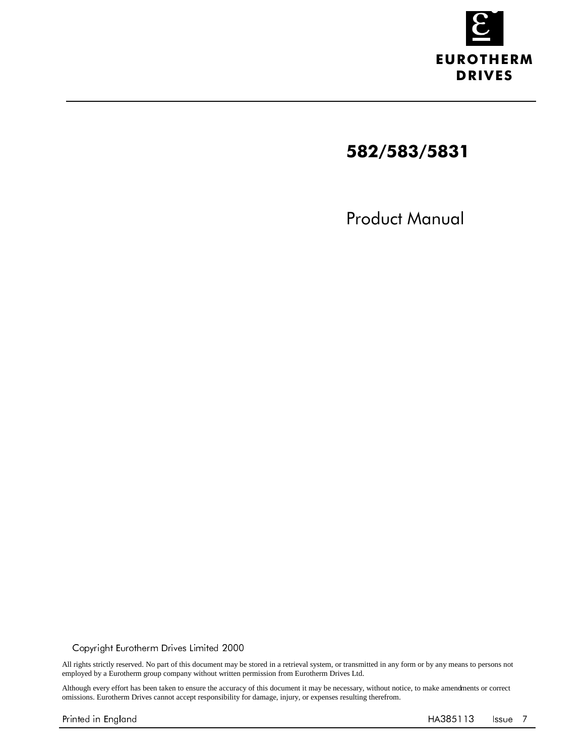

# 582/583/5831

Product Manual

 $@$  Copyright Eurotherm Drives Limited 2000

All rights strictly reserved. No part of this document may be stored in a retrieval system, or transmitted in any form or by any means to persons not employed by a Eurotherm group company without written permission from Eurotherm Drives Ltd.

Although every effort has been taken to ensure the accuracy of this document it may be necessary, without notice, to make amendments or correct omissions. Eurotherm Drives cannot accept responsibility for damage, injury, or expenses resulting therefrom.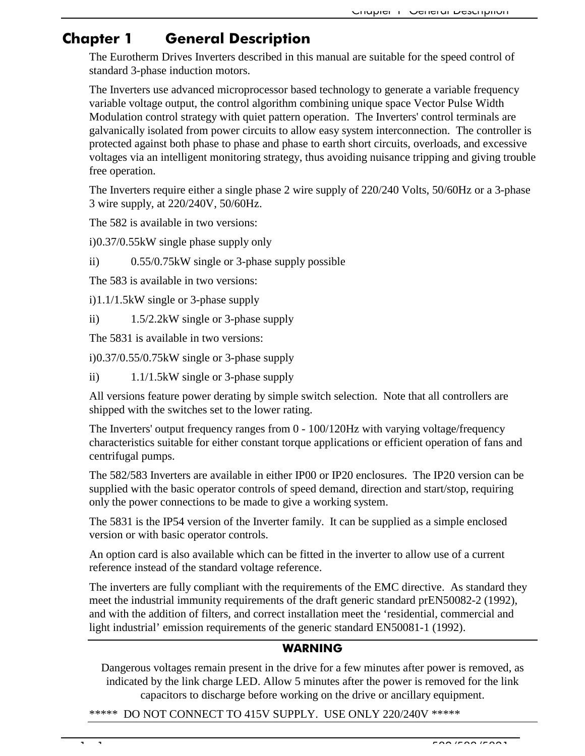## Chapter 1 **General Description**

The Eurotherm Drives Inverters described in this manual are suitable for the speed control of standard 3-phase induction motors.

The Inverters use advanced microprocessor based technology to generate a variable frequency variable voltage output, the control algorithm combining unique space Vector Pulse Width Modulation control strategy with quiet pattern operation. The Inverters' control terminals are galvanically isolated from power circuits to allow easy system interconnection. The controller is protected against both phase to phase and phase to earth short circuits, overloads, and excessive voltages via an intelligent monitoring strategy, thus avoiding nuisance tripping and giving trouble free operation.

The Inverters require either a single phase 2 wire supply of 220/240 Volts, 50/60Hz or a 3-phase 3 wire supply, at 220/240V, 50/60Hz.

The 582 is available in two versions:

i)0.37/0.55kW single phase supply only

ii) 0.55/0.75kW single or 3-phase supply possible

The 583 is available in two versions:

i)1.1/1.5kW single or 3-phase supply

ii) 1.5/2.2kW single or 3-phase supply

The 5831 is available in two versions:

i)0.37/0.55/0.75kW single or 3-phase supply

ii) 1.1/1.5kW single or 3-phase supply

All versions feature power derating by simple switch selection. Note that all controllers are shipped with the switches set to the lower rating.

The Inverters' output frequency ranges from 0 - 100/120Hz with varying voltage/frequency characteristics suitable for either constant torque applications or efficient operation of fans and centrifugal pumps.

The 582/583 Inverters are available in either IP00 or IP20 enclosures. The IP20 version can be supplied with the basic operator controls of speed demand, direction and start/stop, requiring only the power connections to be made to give a working system.

The 5831 is the IP54 version of the Inverter family. It can be supplied as a simple enclosed version or with basic operator controls.

An option card is also available which can be fitted in the inverter to allow use of a current reference instead of the standard voltage reference.

The inverters are fully compliant with the requirements of the EMC directive. As standard they meet the industrial immunity requirements of the draft generic standard prEN50082-2 (1992), and with the addition of filters, and correct installation meet the 'residential, commercial and light industrial' emission requirements of the generic standard EN50081-1 (1992).

### WARNING

Dangerous voltages remain present in the drive for a few minutes after power is removed, as indicated by the link charge LED. Allow 5 minutes after the power is removed for the link capacitors to discharge before working on the drive or ancillary equipment.

\*\*\*\*\* DO NOT CONNECT TO 415V SUPPLY. USE ONLY 220/240V \*\*\*\*\*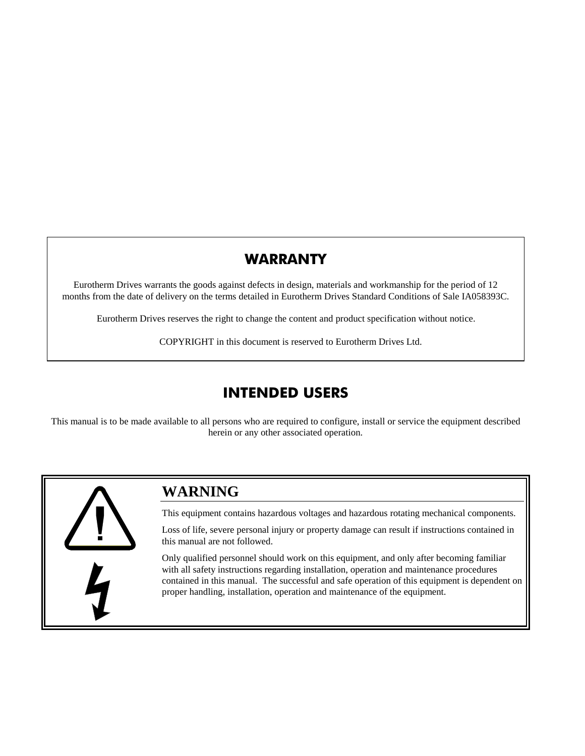### WARRANTY

Eurotherm Drives warrants the goods against defects in design, materials and workmanship for the period of 12 months from the date of delivery on the terms detailed in Eurotherm Drives Standard Conditions of Sale IA058393C.

Eurotherm Drives reserves the right to change the content and product specification without notice.

COPYRIGHT in this document is reserved to Eurotherm Drives Ltd.

# **INTENDED USERS**

This manual is to be made available to all persons who are required to configure, install or service the equipment described herein or any other associated operation.



### **WARNING**

This equipment contains hazardous voltages and hazardous rotating mechanical components.

Loss of life, severe personal injury or property damage can result if instructions contained in this manual are not followed.

Only qualified personnel should work on this equipment, and only after becoming familiar with all safety instructions regarding installation, operation and maintenance procedures contained in this manual. The successful and safe operation of this equipment is dependent on proper handling, installation, operation and maintenance of the equipment.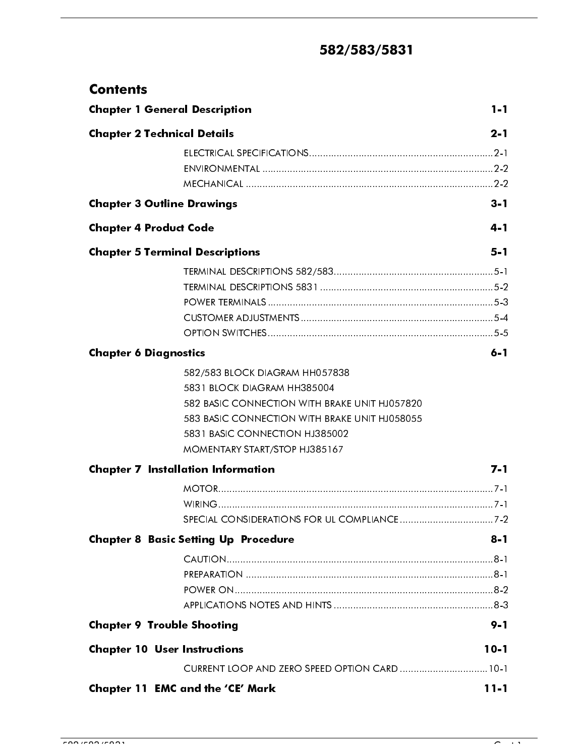# 582/583/5831

| <b>Contents</b>                      |                                                                                                                                                                                                                                    |          |
|--------------------------------------|------------------------------------------------------------------------------------------------------------------------------------------------------------------------------------------------------------------------------------|----------|
| <b>Chapter 1 General Description</b> |                                                                                                                                                                                                                                    | $1 - 1$  |
| <b>Chapter 2 Technical Details</b>   |                                                                                                                                                                                                                                    | $2 - 1$  |
|                                      |                                                                                                                                                                                                                                    |          |
| <b>Chapter 3 Outline Drawings</b>    |                                                                                                                                                                                                                                    | $3 - 1$  |
| <b>Chapter 4 Product Code</b>        |                                                                                                                                                                                                                                    | 4-1      |
|                                      | <b>Chapter 5 Terminal Descriptions</b>                                                                                                                                                                                             | $5 - 1$  |
|                                      |                                                                                                                                                                                                                                    |          |
| <b>Chapter 6 Diagnostics</b>         |                                                                                                                                                                                                                                    | $6 - 1$  |
|                                      | 582/583 BLOCK DIAGRAM HH057838<br>5831 BLOCK DIAGRAM HH385004<br>582 BASIC CONNECTION WITH BRAKE UNIT HJ057820<br>583 BASIC CONNECTION WITH BRAKE UNIT HJ058055<br>5831 BASIC CONNECTION HJ385002<br>MOMENTARY START/STOP HJ385167 |          |
|                                      | <b>Chapter 7 Installation Information</b>                                                                                                                                                                                          | $7 - 1$  |
|                                      |                                                                                                                                                                                                                                    |          |
|                                      | <b>Chapter 8 Basic Setting Up Procedure</b>                                                                                                                                                                                        | $8 - 1$  |
|                                      |                                                                                                                                                                                                                                    |          |
| <b>Chapter 9 Trouble Shooting</b>    |                                                                                                                                                                                                                                    | $9 - 1$  |
| <b>Chapter 10 User Instructions</b>  |                                                                                                                                                                                                                                    | $10 - 1$ |
|                                      | CURRENT LOOP AND ZERO SPEED OPTION CARD  10-1                                                                                                                                                                                      |          |
|                                      | Chapter 11 EMC and the 'CE' Mark                                                                                                                                                                                                   | $11 - 1$ |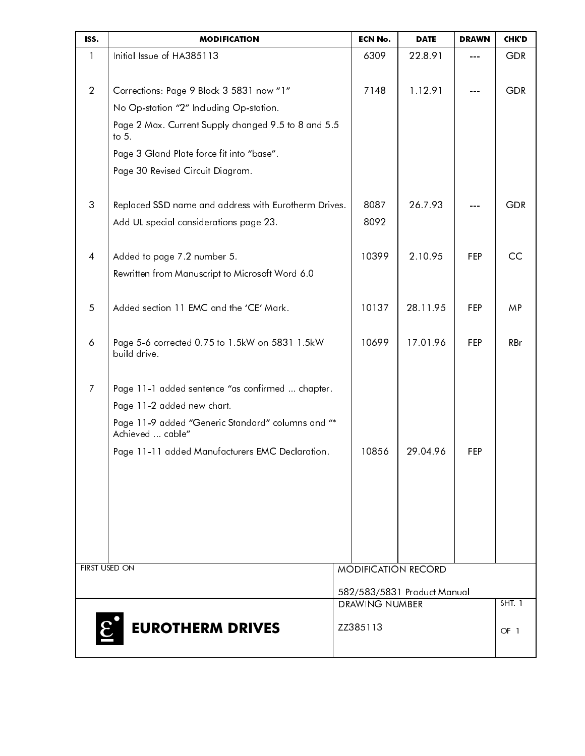| ISS.           | <b>MODIFICATION</b>                                                   | <b>ECN No.</b>        | <b>DATE</b>                 | <b>DRAWN</b> | <b>CHK D</b>  |
|----------------|-----------------------------------------------------------------------|-----------------------|-----------------------------|--------------|---------------|
| $\mathbf{1}$   | Initial Issue of HA385113                                             | 6309                  | 22.8.91                     | $- - -$      | <b>GDR</b>    |
|                |                                                                       |                       |                             |              |               |
| $\overline{2}$ | Corrections: Page 9 Block 3 5831 now "1"                              | 7148                  | 1.12.91                     |              | <b>GDR</b>    |
|                | No Op-station "2" Including Op-station.                               |                       |                             |              |               |
|                | Page 2 Max. Current Supply changed 9.5 to 8 and 5.5<br>to $5.$        |                       |                             |              |               |
|                | Page 3 Gland Plate force fit into "base".                             |                       |                             |              |               |
|                | Page 30 Revised Circuit Diagram.                                      |                       |                             |              |               |
| 3              | Replaced SSD name and address with Eurotherm Drives.                  | 8087                  | 26.7.93                     |              | <b>GDR</b>    |
|                | Add UL special considerations page 23.                                | 8092                  |                             |              |               |
| 4              | Added to page 7.2 number 5.                                           | 10399                 | 2.10.95                     | FEP          | CC            |
|                | Rewritten from Manuscript to Microsoft Word 6.0                       |                       |                             |              |               |
| $\overline{5}$ | Added section 11 EMC and the 'CE' Mark.                               | 10137                 | 28.11.95                    | FEP          | MP.           |
| 6              | Page 5-6 corrected 0.75 to 1.5kW on 5831 1.5kW<br>build drive.        | 10699                 | 17.01.96                    | FEP          | RBr           |
| $\mathcal{I}$  | Page 11-1 added sentence "as confirmed  chapter.                      |                       |                             |              |               |
|                | Page 11-2 added new chart.                                            |                       |                             |              |               |
|                | Page 11-9 added "Generic Standard" columns and "*<br>Achieved  cable" |                       |                             |              |               |
|                | Page 11-11 added Manufacturers EMC Declaration.                       | 10856                 | 29.04.96                    | FEP          |               |
|                |                                                                       |                       |                             |              |               |
|                |                                                                       |                       |                             |              |               |
|                |                                                                       |                       |                             |              |               |
|                |                                                                       |                       |                             |              |               |
|                |                                                                       |                       |                             |              |               |
| FIRST USED ON  |                                                                       |                       | <b>MODIFICATION RECORD</b>  |              |               |
|                |                                                                       |                       | 582/583/5831 Product Manual |              |               |
|                |                                                                       | <b>DRAWING NUMBER</b> |                             |              | <b>SHT. 1</b> |
| $\mathcal{E}$  | <b>EUROTHERM DRIVES</b>                                               | ZZ385113              |                             |              | OF 1          |
|                |                                                                       |                       |                             |              |               |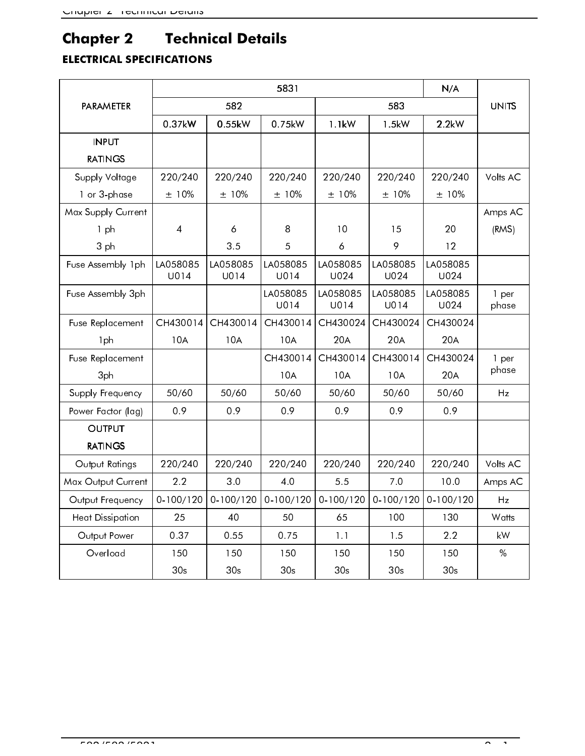# **Chapter 2 Technical Details**

# **ELECTRICAL SPECIFICATIONS**

|                       | 5831<br>N/A      |                  |                  |                      |                  |                              |                |  |  |  |
|-----------------------|------------------|------------------|------------------|----------------------|------------------|------------------------------|----------------|--|--|--|
| <b>PARAMETER</b>      |                  | 582              | 583              |                      | <b>UNITS</b>     |                              |                |  |  |  |
|                       | 0.37kW           | 0.55kW           | 0.75kW           | 1.1kW                | 1.5kW            | $2.2$ kW                     |                |  |  |  |
| <b>INPUT</b>          |                  |                  |                  |                      |                  |                              |                |  |  |  |
| <b>RATINGS</b>        |                  |                  |                  |                      |                  |                              |                |  |  |  |
| <b>Supply Voltage</b> | 220/240          | 220/240          | 220/240          | 220/240              | 220/240          | 220/240                      | Volts AC       |  |  |  |
| 1 or 3-phase          | ± 10%            | ± 10%            | $±10\%$          | ± 10%                | ±10%             | $\pm$ 10%                    |                |  |  |  |
| Max Supply Current    |                  |                  |                  |                      |                  |                              | Amps AC        |  |  |  |
| 1ph                   | $\overline{4}$   | 6                | 8                | 10                   | 15               | 20                           | (RMS)          |  |  |  |
| 3 ph                  |                  | 3.5              | 5                | 6                    | 9                | $12 \,$                      |                |  |  |  |
| Fuse Assembly 1ph     | LA058085<br>U014 | LA058085<br>U014 | LA058085<br>U014 | LA058085<br>U024     | LA058085<br>U024 | LA058085<br>U <sub>024</sub> |                |  |  |  |
| Fuse Assembly 3ph     |                  |                  | LA058085<br>U014 | LA058085<br>U014     | LA058085<br>U014 | LA058085<br>U <sub>024</sub> | 1 per<br>phase |  |  |  |
| Fuse Replacement      | CH430014         | CH430014         | CH430014         | CH430024<br>CH430024 |                  | CH430024                     |                |  |  |  |
| 1ph                   | <b>10A</b>       | 10A              | 10A              | 20A                  | 20A              | 20A                          |                |  |  |  |
| Fuse Replacement      |                  |                  | CH430014         | CH430014             | CH430014         | CH430024                     | 1 per          |  |  |  |
| 3ph                   |                  |                  | <b>10A</b>       | 10A                  | 10A              | 20A                          | phase          |  |  |  |
| Supply Frequency      | 50/60            | 50/60            | 50/60            | 50/60                | 50/60            | 50/60                        | Hz             |  |  |  |
| Power Factor (lag)    | 0.9              | 0.9              | 0.9              | 0.9                  | 0.9              | 0.9                          |                |  |  |  |
| <b>OUTPUT</b>         |                  |                  |                  |                      |                  |                              |                |  |  |  |
| <b>RATINGS</b>        |                  |                  |                  |                      |                  |                              |                |  |  |  |
| Output Ratings        | 220/240          | 220/240          | 220/240          | 220/240              | 220/240          | 220/240                      | Volts AC       |  |  |  |
| Max Output Current    | 2.2              | 3.0              | 4.0              | 5.5                  | 7.0              | 10.0                         | Amps AC        |  |  |  |
| Output Frequency      | $0 - 100 / 120$  | $0 - 100 / 120$  | 0.100/120        | 0.100/120            | 0.100/120        | 0.100/120                    | Hz             |  |  |  |
| Heat Dissipation      | 25               | 40               | 50               | 65                   | 100              | 130                          | Watts          |  |  |  |
| Output Power          | 0.37             | 0.55             | 0.75             | 1.1                  | 1.5              | 2.2                          | kW             |  |  |  |
| Overload              | 150              | 150              | 150              | 150                  | 150              | 150                          | %              |  |  |  |
|                       | 30 <sub>s</sub>  | 30 <sub>s</sub>  | 30 <sub>s</sub>  | 30 <sub>s</sub>      | 30 <sub>s</sub>  | 30 <sub>s</sub>              |                |  |  |  |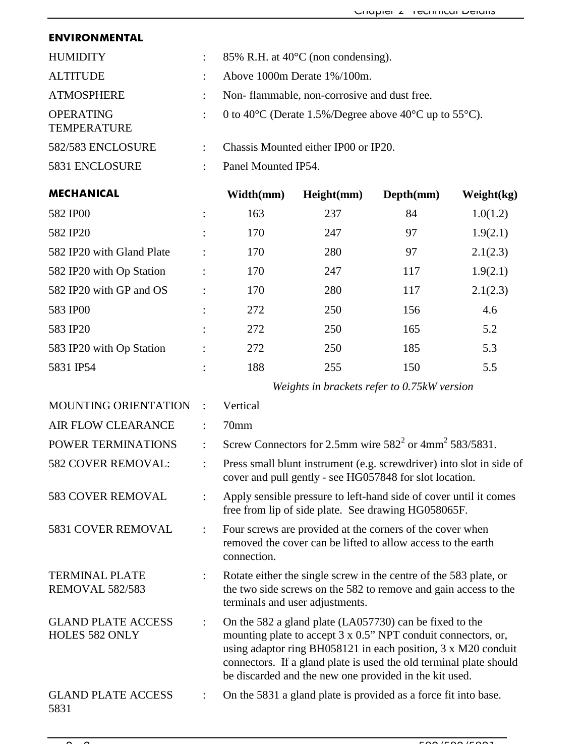### **ENVIRONMENTAL**

| <b>HUMIDITY</b>                        | 85% R.H. at $40^{\circ}$ C (non condensing).                                                 |
|----------------------------------------|----------------------------------------------------------------------------------------------|
| <b>ALTITUDE</b>                        | Above 1000m Derate 1%/100m.                                                                  |
| <b>ATMOSPHERE</b>                      | Non-flammable, non-corrosive and dust free.                                                  |
| <b>OPERATING</b><br><b>TEMPERATURE</b> | 0 to 40 <sup>o</sup> C (Derate 1.5%/Degree above 40 <sup>o</sup> C up to 55 <sup>o</sup> C). |
| 582/583 ENCLOSURE                      | Chassis Mounted either IP00 or IP20.                                                         |
| 5831 ENCLOSURE                         | Panel Mounted IP54.                                                                          |

|                      | Width(mm) | Height(mm) | Depth(mm) | Weight(kg) |
|----------------------|-----------|------------|-----------|------------|
|                      | 163       | 237        | 84        | 1.0(1.2)   |
| $\ddot{\cdot}$       | 170       | 247        | 97        | 1.9(2.1)   |
| $\ddot{\cdot}$       | 170       | 280        | 97        | 2.1(2.3)   |
|                      | 170       | 247        | 117       | 1.9(2.1)   |
| $\ddot{\phantom{a}}$ | 170       | 280        | 117       | 2.1(2.3)   |
| ٠                    | 272       | 250        | 156       | 4.6        |
| $\ddot{\cdot}$       | 272       | 250        | 165       | 5.2        |
|                      | 272       | 250        | 185       | 5.3        |
| ٠                    | 188       | 255        | 150       | 5.5        |
|                      |           |            |           |            |

*Weights in brackets refer to 0.75kW version*

| <b>MOUNTING ORIENTATION</b>                     |   | Vertical                                                                                                                                                                                                                                                                                                                         |
|-------------------------------------------------|---|----------------------------------------------------------------------------------------------------------------------------------------------------------------------------------------------------------------------------------------------------------------------------------------------------------------------------------|
| AIR FLOW CLEARANCE                              |   | 70mm                                                                                                                                                                                                                                                                                                                             |
| <b>POWER TERMINATIONS</b>                       | ÷ | Screw Connectors for 2.5mm wire $582^2$ or $4mm^2$ 583/5831.                                                                                                                                                                                                                                                                     |
| 582 COVER REMOVAL:                              |   | Press small blunt instrument (e.g. screwdriver) into slot in side of<br>cover and pull gently - see HG057848 for slot location.                                                                                                                                                                                                  |
| <b>583 COVER REMOVAL</b>                        |   | Apply sensible pressure to left-hand side of cover until it comes<br>free from lip of side plate. See drawing HG058065F.                                                                                                                                                                                                         |
| 5831 COVER REMOVAL                              |   | Four screws are provided at the corners of the cover when<br>removed the cover can be lifted to allow access to the earth<br>connection.                                                                                                                                                                                         |
| <b>TERMINAL PLATE</b><br><b>REMOVAL 582/583</b> |   | Rotate either the single screw in the centre of the 583 plate, or<br>the two side screws on the 582 to remove and gain access to the<br>terminals and user adjustments.                                                                                                                                                          |
| <b>GLAND PLATE ACCESS</b><br>HOLES 582 ONLY     |   | On the 582 a gland plate (LA057730) can be fixed to the<br>mounting plate to accept 3 x 0.5" NPT conduit connectors, or,<br>using adaptor ring BH058121 in each position, $3 \times M20$ conduit<br>connectors. If a gland plate is used the old terminal plate should<br>be discarded and the new one provided in the kit used. |
| <b>GLAND PLATE ACCESS</b><br>5831               |   | On the 5831 a gland plate is provided as a force fit into base.                                                                                                                                                                                                                                                                  |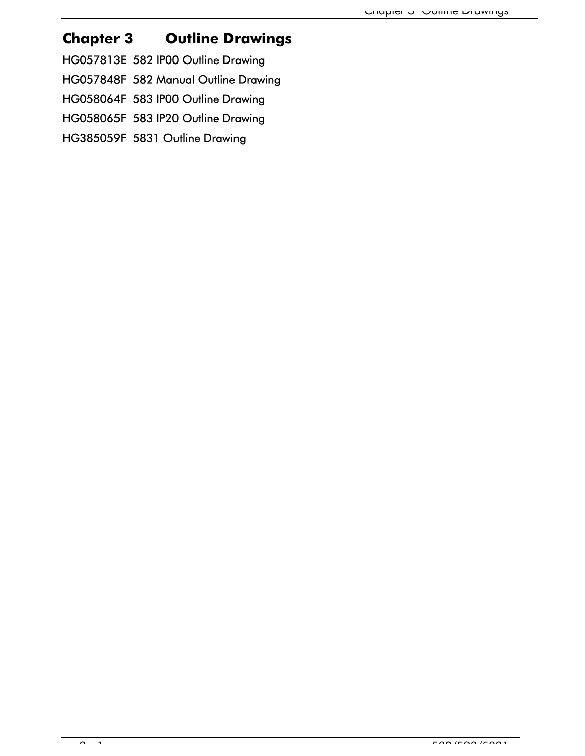# Chapter 3 Outline Drawings

HG057813E 582 IP00 Outline Drawing

HG057848F 582 Manual Outline Drawing

HG058064F 583 IP00 Outline Drawing

HG058065F 583 IP20 Outline Drawing

HG385059F 5831 Outline Drawing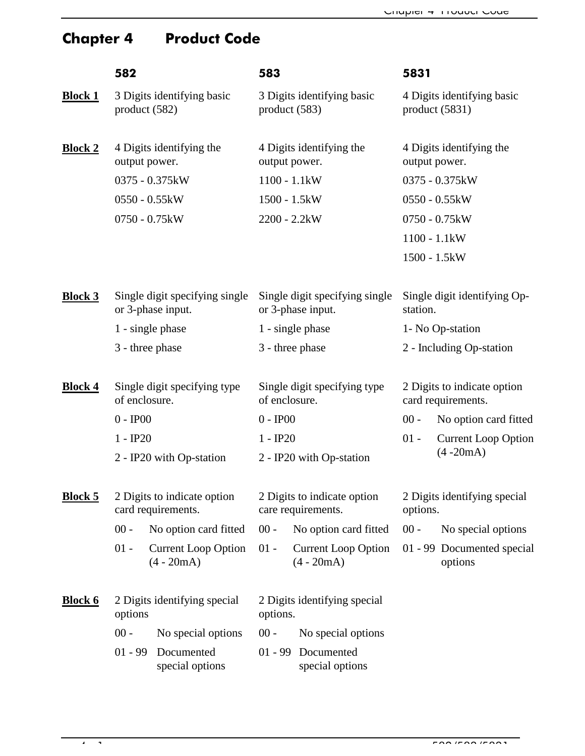# Chapter 4 Product Code

|                | 582                                                 |                                            | 583                                           |                                                     | 5831                                              |                                              |  |
|----------------|-----------------------------------------------------|--------------------------------------------|-----------------------------------------------|-----------------------------------------------------|---------------------------------------------------|----------------------------------------------|--|
| <b>Block 1</b> | product(582)                                        | 3 Digits identifying basic                 | product(583)                                  | 3 Digits identifying basic                          |                                                   | 4 Digits identifying basic<br>product (5831) |  |
| <b>Block 2</b> | output power.                                       | 4 Digits identifying the                   |                                               | 4 Digits identifying the<br>output power.           | output power.                                     | 4 Digits identifying the                     |  |
|                |                                                     | 0375 - 0.375kW                             |                                               | $1100 - 1.1$ kW                                     |                                                   | 0375 - 0.375kW                               |  |
|                |                                                     | 0550 - 0.55kW                              |                                               | 1500 - 1.5kW                                        |                                                   | 0550 - 0.55kW                                |  |
|                |                                                     | 0750 - 0.75kW                              |                                               | $2200 - 2.2$ kW                                     |                                                   | 0750 - 0.75kW                                |  |
|                |                                                     |                                            |                                               |                                                     | $1100 - 1.1$ kW                                   |                                              |  |
|                |                                                     |                                            |                                               |                                                     | 1500 - 1.5kW                                      |                                              |  |
| <b>Block 3</b> | Single digit specifying single<br>or 3-phase input. |                                            |                                               | Single digit specifying single<br>or 3-phase input. | Single digit identifying Op-<br>station.          |                                              |  |
|                |                                                     | 1 - single phase                           | 1 - single phase                              |                                                     | 1- No Op-station                                  |                                              |  |
|                | 3 - three phase                                     |                                            | 3 - three phase                               |                                                     | 2 - Including Op-station                          |                                              |  |
| <b>Block 4</b> | of enclosure.                                       | Single digit specifying type               | Single digit specifying type<br>of enclosure. |                                                     | 2 Digits to indicate option<br>card requirements. |                                              |  |
|                | $0 - IP00$                                          |                                            | $0 - IP00$                                    |                                                     | $00 -$                                            | No option card fitted                        |  |
|                | $1 - IP20$                                          |                                            | $1 - IP20$                                    |                                                     | $01 -$                                            | <b>Current Loop Option</b>                   |  |
|                |                                                     | 2 - IP20 with Op-station                   |                                               | 2 - IP20 with Op-station                            |                                                   | $(4 - 20mA)$                                 |  |
| <b>Block 5</b> | 2 Digits to indicate option<br>card requirements.   |                                            |                                               | 2 Digits to indicate option<br>care requirements.   | 2 Digits identifying special<br>options.          |                                              |  |
|                | $00 -$                                              | No option card fitted                      | $00 -$                                        | No option card fitted                               | $00 -$                                            | No special options                           |  |
|                | $01 -$                                              | <b>Current Loop Option</b><br>$(4 - 20mA)$ | $01 -$                                        | <b>Current Loop Option</b><br>$(4 - 20m)$           |                                                   | 01 - 99 Documented special<br>options        |  |
| <b>Block 6</b> | options                                             | 2 Digits identifying special               | options.                                      | 2 Digits identifying special                        |                                                   |                                              |  |
|                | $00 -$                                              | No special options                         | $00 -$                                        | No special options                                  |                                                   |                                              |  |
|                | $01 - 99$                                           | Documented<br>special options              |                                               | 01 - 99 Documented<br>special options               |                                                   |                                              |  |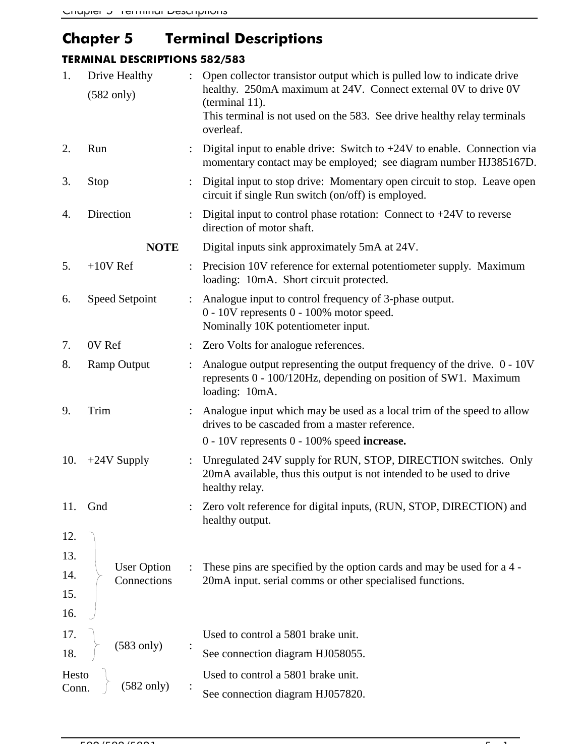# Chapter 5 Terminal Descriptions

### TERMINAL DESCRIPTIONS 582/583

| 1.    | Drive Healthy<br>$(582 \text{ only})$ | $\ddot{\cdot}$ | Open collector transistor output which is pulled low to indicate drive<br>healthy. 250mA maximum at 24V. Connect external 0V to drive 0V<br>(terminal 11).<br>This terminal is not used on the 583. See drive healthy relay terminals |  |  |  |
|-------|---------------------------------------|----------------|---------------------------------------------------------------------------------------------------------------------------------------------------------------------------------------------------------------------------------------|--|--|--|
| 2.    | Run                                   |                | overleaf.<br>Digital input to enable drive: Switch to $+24V$ to enable. Connection via<br>momentary contact may be employed; see diagram number HJ385167D.                                                                            |  |  |  |
| 3.    | Stop                                  |                | Digital input to stop drive: Momentary open circuit to stop. Leave open<br>circuit if single Run switch (on/off) is employed.                                                                                                         |  |  |  |
| 4.    | Direction                             |                | Digital input to control phase rotation: Connect to $+24V$ to reverse<br>direction of motor shaft.                                                                                                                                    |  |  |  |
|       | <b>NOTE</b>                           |                | Digital inputs sink approximately 5mA at 24V.                                                                                                                                                                                         |  |  |  |
| 5.    | $+10V$ Ref                            | $\ddot{\cdot}$ | Precision 10V reference for external potentiometer supply. Maximum<br>loading: 10mA. Short circuit protected.                                                                                                                         |  |  |  |
| 6.    | Speed Setpoint                        |                | Analogue input to control frequency of 3-phase output.<br>0 - 10V represents 0 - 100% motor speed.<br>Nominally 10K potentiometer input.                                                                                              |  |  |  |
| 7.    | 0V Ref                                |                | Zero Volts for analogue references.                                                                                                                                                                                                   |  |  |  |
| 8.    | <b>Ramp Output</b>                    |                | Analogue output representing the output frequency of the drive. 0 - 10V<br>represents 0 - 100/120Hz, depending on position of SW1. Maximum<br>loading: 10mA.                                                                          |  |  |  |
| 9.    | Trim                                  |                | Analogue input which may be used as a local trim of the speed to allow<br>drives to be cascaded from a master reference.                                                                                                              |  |  |  |
|       |                                       |                | $0 - 10V$ represents $0 - 100\%$ speed increase.                                                                                                                                                                                      |  |  |  |
| 10.   | $+24V$ Supply                         |                | Unregulated 24V supply for RUN, STOP, DIRECTION switches. Only<br>20mA available, thus this output is not intended to be used to drive<br>healthy relay.                                                                              |  |  |  |
| 11.   | Gnd                                   |                | Zero volt reference for digital inputs, (RUN, STOP, DIRECTION) and<br>healthy output.                                                                                                                                                 |  |  |  |
| 12.   |                                       |                |                                                                                                                                                                                                                                       |  |  |  |
| 13.   |                                       |                |                                                                                                                                                                                                                                       |  |  |  |
| 14.   | <b>User Option</b><br>Connections     |                | These pins are specified by the option cards and may be used for a 4 -<br>20mA input. serial comms or other specialised functions.                                                                                                    |  |  |  |
| 15.   |                                       |                |                                                                                                                                                                                                                                       |  |  |  |
| 16.   |                                       |                |                                                                                                                                                                                                                                       |  |  |  |
| 17.   |                                       |                | Used to control a 5801 brake unit.                                                                                                                                                                                                    |  |  |  |
| 18.   | $(583 \text{ only})$                  |                | See connection diagram HJ058055.                                                                                                                                                                                                      |  |  |  |
| Hesto |                                       |                | Used to control a 5801 brake unit.                                                                                                                                                                                                    |  |  |  |
| Conn. | $(582 \text{ only})$                  |                | See connection diagram HJ057820.                                                                                                                                                                                                      |  |  |  |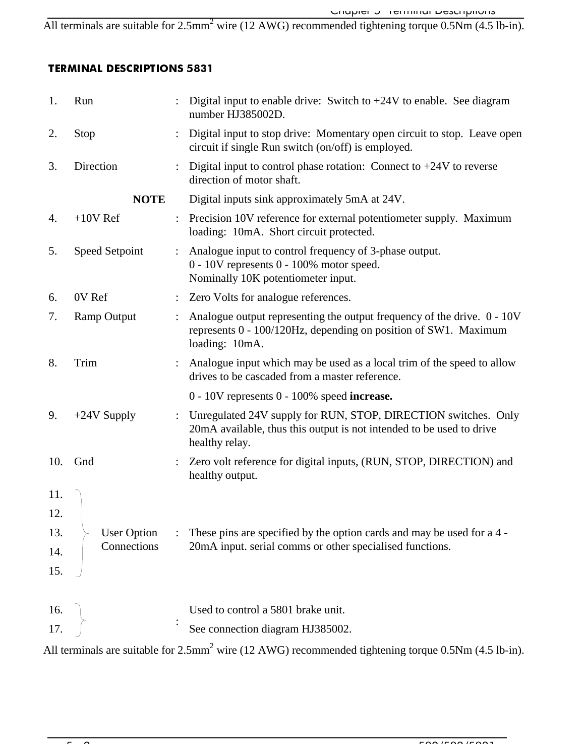All terminals are suitable for  $2.5$ mm<sup>2</sup> wire (12 AWG) recommended tightening torque  $0.5$ Nm (4.5 lb-in).

### **TERMINAL DESCRIPTIONS 5831**

| 1.  | Run                |                | Digital input to enable drive: Switch to $+24V$ to enable. See diagram<br>number HJ385002D.                                                                  |
|-----|--------------------|----------------|--------------------------------------------------------------------------------------------------------------------------------------------------------------|
| 2.  | Stop               | $\ddot{\cdot}$ | Digital input to stop drive: Momentary open circuit to stop. Leave open<br>circuit if single Run switch (on/off) is employed.                                |
| 3.  | Direction          |                | Digital input to control phase rotation: Connect to $+24V$ to reverse<br>direction of motor shaft.                                                           |
|     | <b>NOTE</b>        |                | Digital inputs sink approximately 5mA at 24V.                                                                                                                |
| 4.  | $+10V$ Ref         |                | : Precision 10V reference for external potentiometer supply. Maximum<br>loading: 10mA. Short circuit protected.                                              |
| 5.  | Speed Setpoint     |                | Analogue input to control frequency of 3-phase output.<br>0 - 10V represents 0 - 100% motor speed.<br>Nominally 10K potentiometer input.                     |
| 6.  | 0V Ref             |                | Zero Volts for analogue references.                                                                                                                          |
| 7.  | <b>Ramp Output</b> |                | Analogue output representing the output frequency of the drive. 0 - 10V<br>represents 0 - 100/120Hz, depending on position of SW1. Maximum<br>loading: 10mA. |
| 8.  | Trim               |                | Analogue input which may be used as a local trim of the speed to allow<br>drives to be cascaded from a master reference.                                     |
|     |                    |                | $0 - 10V$ represents $0 - 100\%$ speed increase.                                                                                                             |
| 9.  | $+24V$ Supply      | $\ddot{\cdot}$ | Unregulated 24V supply for RUN, STOP, DIRECTION switches. Only<br>20mA available, thus this output is not intended to be used to drive<br>healthy relay.     |
| 10. | Gnd                |                | Zero volt reference for digital inputs, (RUN, STOP, DIRECTION) and<br>healthy output.                                                                        |
| 11. |                    |                |                                                                                                                                                              |
| 12. |                    |                |                                                                                                                                                              |
| 13. | <b>User Option</b> |                | These pins are specified by the option cards and may be used for a 4 -                                                                                       |
| 14. | Connections        |                | 20mA input. serial comms or other specialised functions.                                                                                                     |
| 15. |                    |                |                                                                                                                                                              |
| 16. |                    |                | Used to control a 5801 brake unit.                                                                                                                           |
| 17. |                    |                | See connection diagram HJ385002.                                                                                                                             |
|     |                    |                |                                                                                                                                                              |

All terminals are suitable for 2.5mm<sup>2</sup> wire (12 AWG) recommended tightening torque 0.5Nm (4.5 lb-in).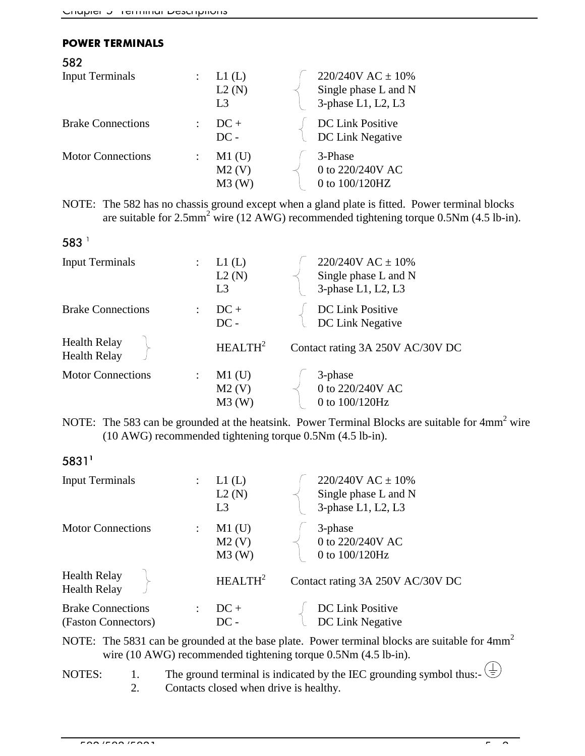#### **POWER TERMINALS**

| 582                      |                                  |                                                                     |
|--------------------------|----------------------------------|---------------------------------------------------------------------|
| <b>Input Terminals</b>   | L1(L)<br>L2(N)<br>L <sub>3</sub> | 220/240V AC $\pm$ 10%<br>Single phase L and N<br>3-phase L1, L2, L3 |
| <b>Brake Connections</b> | $DC +$<br>$DC -$                 | DC Link Positive<br>DC Link Negative                                |
| <b>Motor Connections</b> | $M1$ (U)<br>M2(V)<br>$M3$ (W)    | 3-Phase<br>0 to 220/240V AC<br>0 to 100/120HZ                       |

NOTE: The 582 has no chassis ground except when a gland plate is fitted. Power terminal blocks are suitable for 2.5mm<sup>2</sup> wire (12 AWG) recommended tightening torque 0.5Nm (4.5 lb-in).

| 583                                        |                      |                                  |                                                                     |
|--------------------------------------------|----------------------|----------------------------------|---------------------------------------------------------------------|
| <b>Input Terminals</b>                     | $\ddot{\phantom{a}}$ | L1(L)<br>L2(N)<br>L <sub>3</sub> | 220/240V AC $\pm$ 10%<br>Single phase L and N<br>3-phase L1, L2, L3 |
| <b>Brake Connections</b>                   |                      | $DC +$<br>$DC -$                 | DC Link Positive<br>DC Link Negative                                |
| <b>Health Relay</b><br><b>Health Relay</b> |                      | HEALTH <sup>2</sup>              | Contact rating 3A 250V AC/30V DC                                    |
| <b>Motor Connections</b>                   |                      | $M1$ (U)<br>M2(V)<br>M3(W)       | 3-phase<br>0 to 220/240V AC<br>0 to 100/120Hz                       |

NOTE: The 583 can be grounded at the heatsink. Power Terminal Blocks are suitable for  $4mm^2$  wire (10 AWG) recommended tightening torque 0.5Nm (4.5 lb-in).

### 5831

| <b>Input Terminals</b>                          | L1(L)<br>L2(N)<br>L <sub>3</sub> | 220/240V AC $\pm$ 10%<br>Single phase L and N<br>3-phase L1, L2, L3 |
|-------------------------------------------------|----------------------------------|---------------------------------------------------------------------|
| <b>Motor Connections</b>                        | $M1$ (U)<br>M2(V)<br>M3(W)       | 3-phase<br>$0$ to $220\!/240\mathrm{V}$ AC<br>0 to 100/120Hz        |
| <b>Health Relay</b><br><b>Health Relay</b>      | HEALTH <sup>2</sup>              | Contact rating 3A 250V AC/30V DC                                    |
| <b>Brake Connections</b><br>(Faston Connectors) | $DC +$<br>$DC -$                 | DC Link Positive<br>DC Link Negative                                |

NOTE: The 5831 can be grounded at the base plate. Power terminal blocks are suitable for 4mm<sup>2</sup> wire (10 AWG) recommended tightening torque 0.5Nm (4.5 lb-in).

NOTES: 1. The ground terminal is indicated by the IEC grounding symbol thus:- $\begin{pmatrix} 1 \\ 2 \end{pmatrix}$ 

2. Contacts closed when drive is healthy.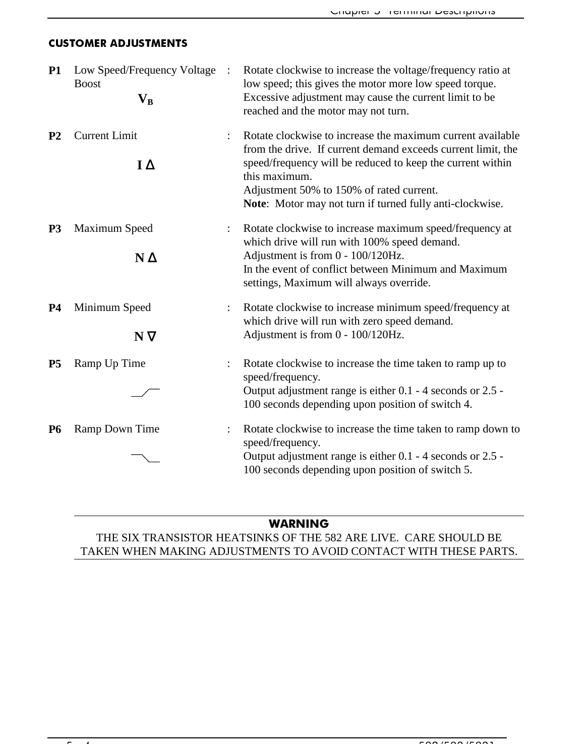### **CUSTOMER ADJUSTMENTS**

| <b>P1</b>      | Low Speed/Frequency Voltage<br><b>Boost</b><br>$\mathbf{V}_\mathbf{B}$ | $\ddot{\cdot}$ | Rotate clockwise to increase the voltage/frequency ratio at<br>low speed; this gives the motor more low speed torque.<br>Excessive adjustment may cause the current limit to be<br>reached and the motor may not turn.                                                                                            |
|----------------|------------------------------------------------------------------------|----------------|-------------------------------------------------------------------------------------------------------------------------------------------------------------------------------------------------------------------------------------------------------------------------------------------------------------------|
| P <sub>2</sub> | <b>Current Limit</b><br>$I\Delta$                                      |                | Rotate clockwise to increase the maximum current available<br>from the drive. If current demand exceeds current limit, the<br>speed/frequency will be reduced to keep the current within<br>this maximum.<br>Adjustment 50% to 150% of rated current.<br>Note: Motor may not turn if turned fully anti-clockwise. |
| <b>P3</b>      | Maximum Speed<br>$N \Delta$                                            |                | Rotate clockwise to increase maximum speed/frequency at<br>which drive will run with 100% speed demand.<br>Adjustment is from 0 - 100/120Hz.<br>In the event of conflict between Minimum and Maximum<br>settings, Maximum will always override.                                                                   |
| <b>P4</b>      | Minimum Speed<br>$N \nabla$                                            |                | Rotate clockwise to increase minimum speed/frequency at<br>which drive will run with zero speed demand.<br>Adjustment is from 0 - 100/120Hz.                                                                                                                                                                      |
| <b>P5</b>      | Ramp Up Time                                                           |                | Rotate clockwise to increase the time taken to ramp up to<br>speed/frequency.<br>Output adjustment range is either 0.1 - 4 seconds or 2.5 -<br>100 seconds depending upon position of switch 4.                                                                                                                   |
| <b>P6</b>      | Ramp Down Time                                                         |                | Rotate clockwise to increase the time taken to ramp down to<br>speed/frequency.<br>Output adjustment range is either 0.1 - 4 seconds or 2.5 -<br>100 seconds depending upon position of switch 5.                                                                                                                 |

### WARNING

THE SIX TRANSISTOR HEATSINKS OF THE 582 ARE LIVE. CARE SHOULD BE TAKEN WHEN MAKING ADJUSTMENTS TO AVOID CONTACT WITH THESE PARTS.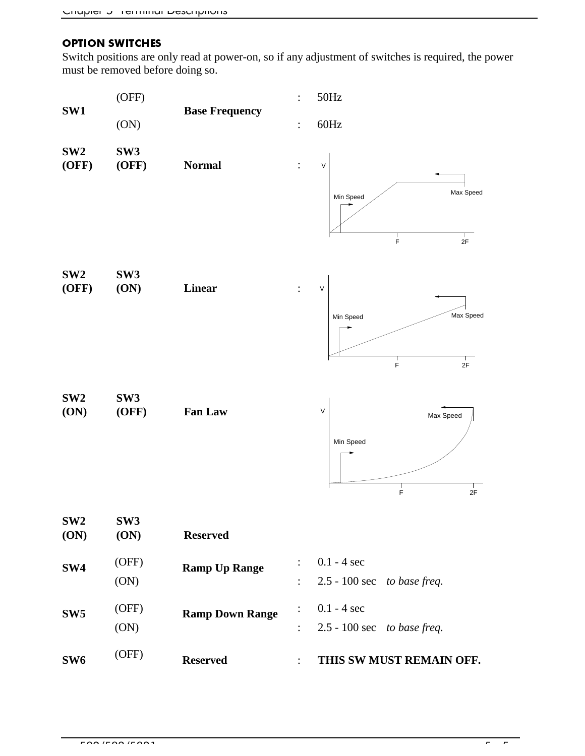### **OPTION SWITCHES**

Switch positions are only read at power-on, so if any adjustment of switches is required, the power must be removed before doing so.

| SW1                      | (OFF)                    | <b>Base Frequency</b>  | $\ddot{\cdot}$                   | 50Hz                                                      |
|--------------------------|--------------------------|------------------------|----------------------------------|-----------------------------------------------------------|
|                          | (ON)                     |                        | $\ddot{\cdot}$                   | $60\mathrm{Hz}$                                           |
| SW <sub>2</sub><br>(OFF) | SW <sub>3</sub><br>(OFF) | <b>Normal</b>          |                                  | V<br>Max Speed<br>Min Speed                               |
| SW <sub>2</sub><br>(OFF) | SW <sub>3</sub><br>(ON)  | <b>Linear</b>          |                                  | F<br>$2\mathsf{F}$<br>V                                   |
|                          |                          |                        |                                  | Max Speed<br>Min Speed<br>$\frac{1}{F}$<br>$\frac{1}{2F}$ |
| SW <sub>2</sub><br>(ON)  | SW <sub>3</sub><br>(OFF) | Fan Law                |                                  | $\sf V$<br>Max Speed<br>Min Speed<br>Ė<br>2F              |
| SW <sub>2</sub><br>(ON)  | SW <sub>3</sub><br>(ON)  | <b>Reserved</b>        |                                  |                                                           |
| SW <sub>4</sub>          | (OFF)<br>(ON)            | <b>Ramp Up Range</b>   | $\ddot{\cdot}$<br>$\ddot{\cdot}$ | $0.1 - 4$ sec<br>2.5 - 100 sec to base freq.              |
| SW <sub>5</sub>          | (OFF)<br>(ON)            | <b>Ramp Down Range</b> |                                  | $0.1 - 4$ sec<br>2.5 - 100 sec to base freq.              |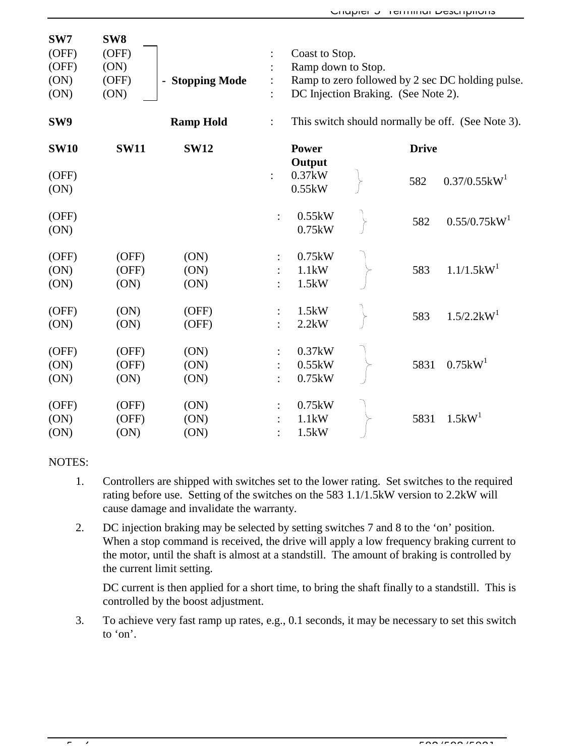| SW7           | SW <sub>8</sub> |                      |                |                                     |              |                                                   |
|---------------|-----------------|----------------------|----------------|-------------------------------------|--------------|---------------------------------------------------|
| (OFF)         | (OFF)           |                      |                | Coast to Stop.                      |              |                                                   |
| (OFF)         | (ON)            |                      |                | Ramp down to Stop.                  |              |                                                   |
| (ON)          | (OFF)           | <b>Stopping Mode</b> |                |                                     |              | Ramp to zero followed by 2 sec DC holding pulse.  |
| (ON)          | (ON)            |                      |                | DC Injection Braking. (See Note 2). |              |                                                   |
| SW9           |                 | <b>Ramp Hold</b>     | $\ddot{\cdot}$ |                                     |              | This switch should normally be off. (See Note 3). |
| <b>SW10</b>   | <b>SW11</b>     | <b>SW12</b>          |                | <b>Power</b>                        | <b>Drive</b> |                                                   |
| (OFF)<br>(ON) |                 |                      | $\ddot{\cdot}$ | Output<br>0.37kW<br>0.55kW          | 582          | $0.37/0.55$ kW <sup>1</sup>                       |
| (OFF)<br>(ON) |                 |                      | $\ddot{\cdot}$ | 0.55kW<br>0.75kW                    | 582          | 0.55/0.75kW <sup>1</sup>                          |
| (OFF)         | (OFF)           | (ON)                 |                | 0.75kW                              |              |                                                   |
| (ON)          | (OFF)           | (ON)                 |                | 1.1kW                               | 583          | $1.1/1.5$ kW <sup>1</sup>                         |
| (ON)          | (ON)            | (ON)                 |                | 1.5kW                               |              |                                                   |
| (OFF)         | (ON)            | (OFF)                | $\ddot{\cdot}$ | 1.5kW                               | 583          | $1.5/2.2$ k $W1$                                  |
| (ON)          | (ON)            | (OFF)                |                | 2.2kW                               |              |                                                   |
| (OFF)         | (OFF)           | (ON)                 |                | 0.37kW                              |              |                                                   |
| (ON)          | (OFF)           | (ON)                 |                | 0.55kW                              | 5831         | 0.75kW <sup>1</sup>                               |
| (ON)          | (ON)            | (ON)                 |                | 0.75kW                              |              |                                                   |
| (OFF)         | (OFF)           | (ON)                 |                | 0.75kW                              |              |                                                   |
| (ON)          | (OFF)           | (ON)                 |                | 1.1kW                               | 5831         | 1.5kW <sup>1</sup>                                |
| (ON)          | (ON)            | (ON)                 |                | 1.5kW                               |              |                                                   |

#### NOTES:

- 1. Controllers are shipped with switches set to the lower rating. Set switches to the required rating before use. Setting of the switches on the 583 1.1/1.5kW version to 2.2kW will cause damage and invalidate the warranty.
- 2. DC injection braking may be selected by setting switches 7 and 8 to the 'on' position. When a stop command is received, the drive will apply a low frequency braking current to the motor, until the shaft is almost at a standstill. The amount of braking is controlled by the current limit setting.

DC current is then applied for a short time, to bring the shaft finally to a standstill. This is controlled by the boost adjustment.

3. To achieve very fast ramp up rates, e.g., 0.1 seconds, it may be necessary to set this switch to 'on'.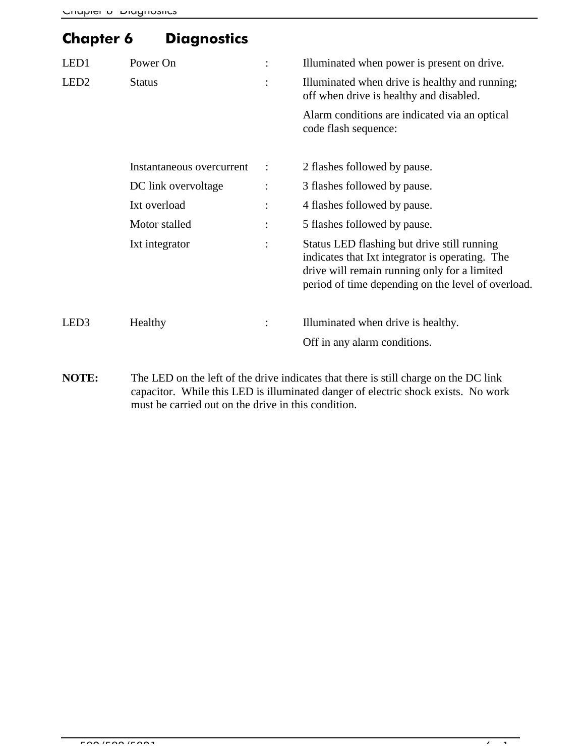# Chapter 6 Diagnostics

| LED <sub>1</sub><br>LED <sub>2</sub> | Power On<br><b>Status</b>                                                                           | $\ddot{\cdot}$<br>$\ddot{\cdot}$                        | Illuminated when power is present on drive.<br>Illuminated when drive is healthy and running;<br>off when drive is healthy and disabled.<br>Alarm conditions are indicated via an optical<br>code flash sequence:                                                                                                                    |
|--------------------------------------|-----------------------------------------------------------------------------------------------------|---------------------------------------------------------|--------------------------------------------------------------------------------------------------------------------------------------------------------------------------------------------------------------------------------------------------------------------------------------------------------------------------------------|
|                                      | Instantaneous overcurrent<br>DC link overvoltage<br>Ixt overload<br>Motor stalled<br>Ixt integrator | $\ddot{\cdot}$<br>:<br>$\ddot{\cdot}$<br>$\ddot{\cdot}$ | 2 flashes followed by pause.<br>3 flashes followed by pause.<br>4 flashes followed by pause.<br>5 flashes followed by pause.<br>Status LED flashing but drive still running<br>indicates that Ixt integrator is operating. The<br>drive will remain running only for a limited<br>period of time depending on the level of overload. |
| LED3                                 | Healthy                                                                                             | $\ddot{\cdot}$                                          | Illuminated when drive is healthy.<br>Off in any alarm conditions.                                                                                                                                                                                                                                                                   |

**NOTE:** The LED on the left of the drive indicates that there is still charge on the DC link capacitor. While this LED is illuminated danger of electric shock exists. No work must be carried out on the drive in this condition.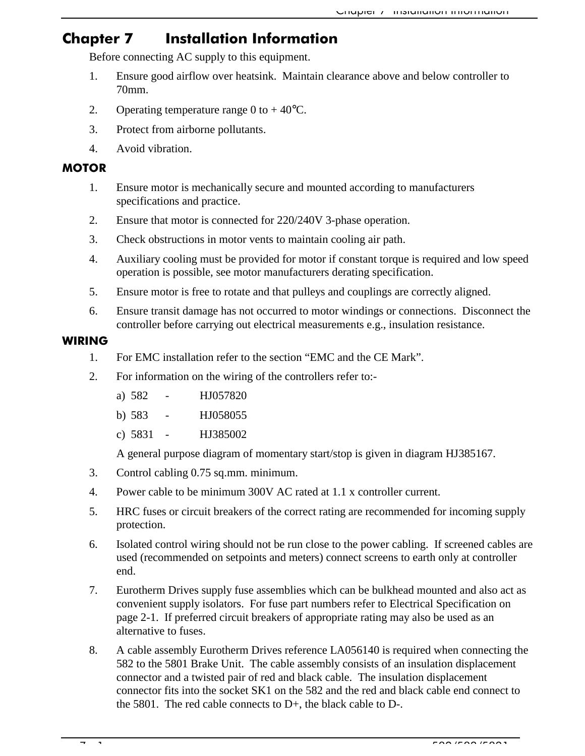### Chapter 7 **Installation Information**

Before connecting AC supply to this equipment.

- 1. Ensure good airflow over heatsink. Maintain clearance above and below controller to 70mm.
- 2. Operating temperature range 0 to  $+40^{\circ}$ C.
- 3. Protect from airborne pollutants.
- 4. Avoid vibration.

### **MOTOR**

- 1. Ensure motor is mechanically secure and mounted according to manufacturers specifications and practice.
- 2. Ensure that motor is connected for 220/240V 3-phase operation.
- 3. Check obstructions in motor vents to maintain cooling air path.
- 4. Auxiliary cooling must be provided for motor if constant torque is required and low speed operation is possible, see motor manufacturers derating specification.
- 5. Ensure motor is free to rotate and that pulleys and couplings are correctly aligned.
- 6. Ensure transit damage has not occurred to motor windings or connections. Disconnect the controller before carrying out electrical measurements e.g., insulation resistance.

### WIRING

- 1. For EMC installation refer to the section "EMC and the CE Mark".
- 2. For information on the wiring of the controllers refer to:
	- a) 582 HJ057820
	- b) 583 HJ058055
	- c) 5831 HJ385002

A general purpose diagram of momentary start/stop is given in diagram HJ385167.

- 3. Control cabling 0.75 sq.mm. minimum.
- 4. Power cable to be minimum 300V AC rated at 1.1 x controller current.
- 5. HRC fuses or circuit breakers of the correct rating are recommended for incoming supply protection.
- 6. Isolated control wiring should not be run close to the power cabling. If screened cables are used (recommended on setpoints and meters) connect screens to earth only at controller end.
- 7. Eurotherm Drives supply fuse assemblies which can be bulkhead mounted and also act as convenient supply isolators. For fuse part numbers refer to Electrical Specification on page 2-1. If preferred circuit breakers of appropriate rating may also be used as an alternative to fuses.
- 8. A cable assembly Eurotherm Drives reference LA056140 is required when connecting the 582 to the 5801 Brake Unit. The cable assembly consists of an insulation displacement connector and a twisted pair of red and black cable. The insulation displacement connector fits into the socket SK1 on the 582 and the red and black cable end connect to the 5801. The red cable connects to D+, the black cable to D-.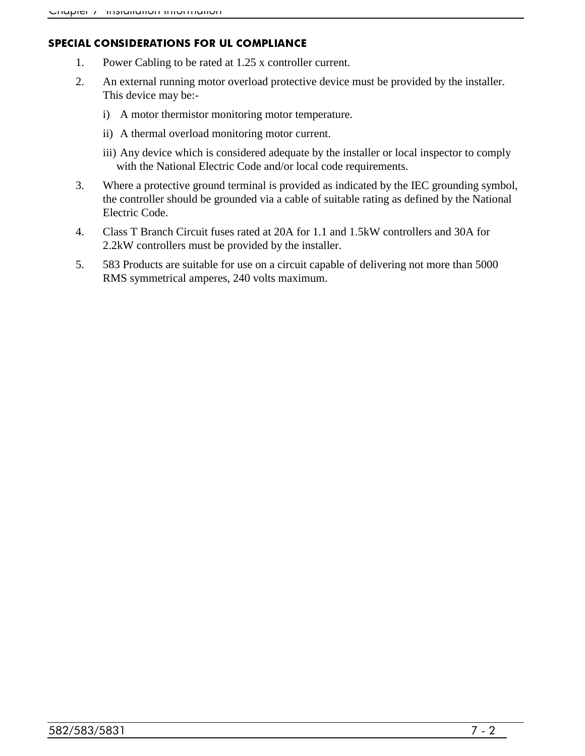#### **SPECIAL CONSIDERATIONS FOR UL COMPLIANCE**

- 1. Power Cabling to be rated at 1.25 x controller current.
- 2. An external running motor overload protective device must be provided by the installer. This device may be:
	- i) A motor thermistor monitoring motor temperature.
	- ii) A thermal overload monitoring motor current.
	- iii) Any device which is considered adequate by the installer or local inspector to comply with the National Electric Code and/or local code requirements.
- 3. Where a protective ground terminal is provided as indicated by the IEC grounding symbol, the controller should be grounded via a cable of suitable rating as defined by the National Electric Code.
- 4. Class T Branch Circuit fuses rated at 20A for 1.1 and 1.5kW controllers and 30A for 2.2kW controllers must be provided by the installer.
- 5. 583 Products are suitable for use on a circuit capable of delivering not more than 5000 RMS symmetrical amperes, 240 volts maximum.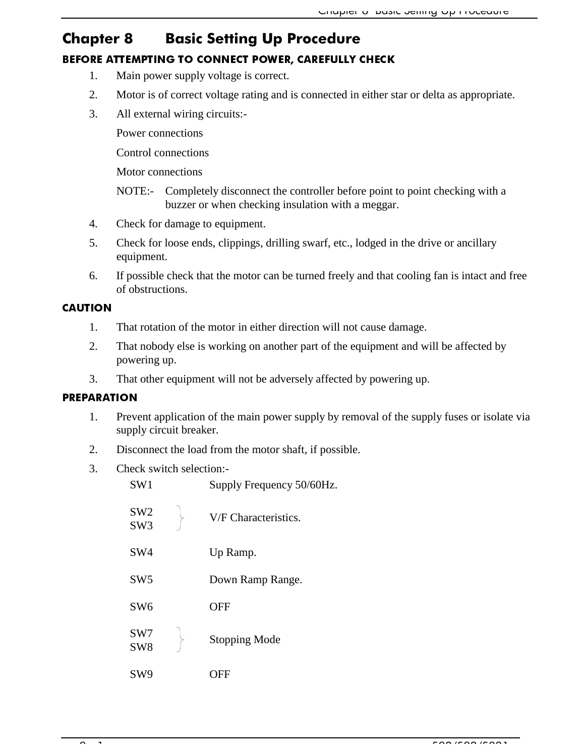## Chapter 8 Basic Setting Up Procedure BEFORE ATTEMPTING TO CONNECT POWER, CAREFULLY CHECK

- 1. Main power supply voltage is correct.
- 2. Motor is of correct voltage rating and is connected in either star or delta as appropriate.
- 3. All external wiring circuits:-

Power connections

Control connections

Motor connections

NOTE:- Completely disconnect the controller before point to point checking with a buzzer or when checking insulation with a meggar.

- 4. Check for damage to equipment.
- 5. Check for loose ends, clippings, drilling swarf, etc., lodged in the drive or ancillary equipment.
- 6. If possible check that the motor can be turned freely and that cooling fan is intact and free of obstructions.

### **CAUTION**

- 1. That rotation of the motor in either direction will not cause damage.
- 2. That nobody else is working on another part of the equipment and will be affected by powering up.
- 3. That other equipment will not be adversely affected by powering up.

### **PREPARATION**

- 1. Prevent application of the main power supply by removal of the supply fuses or isolate via supply circuit breaker.
- 2. Disconnect the load from the motor shaft, if possible.
- 3. Check switch selection:-

| SW <sub>1</sub>                    | Supply Frequency 50/60Hz. |
|------------------------------------|---------------------------|
| SW <sub>2</sub><br>SW <sub>3</sub> | V/F Characteristics.      |
| SW4                                | Up Ramp.                  |
| SW <sub>5</sub>                    | Down Ramp Range.          |
| SW <sub>6</sub>                    | <b>OFF</b>                |
| SW7<br>SW <sub>8</sub>             | <b>Stopping Mode</b>      |
| SW9                                | OFF                       |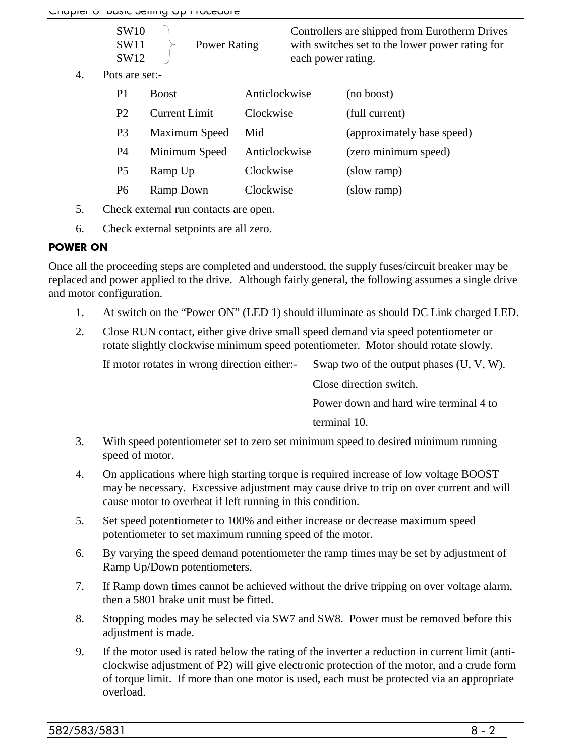| SW10<br>SW11<br><b>Power Rating</b><br>SW12<br>each power rating. | Controllers are shipped from Eurotherm Drives<br>with switches set to the lower power rating for |
|-------------------------------------------------------------------|--------------------------------------------------------------------------------------------------|
|-------------------------------------------------------------------|--------------------------------------------------------------------------------------------------|

4. Pots are set:-

| P1             | <b>Boost</b>         | Anticlockwise | (no boost)                 |
|----------------|----------------------|---------------|----------------------------|
| P <sub>2</sub> | <b>Current Limit</b> | Clockwise     | (full current)             |
| P <sub>3</sub> | Maximum Speed        | Mid           | (approximately base speed) |
| P4             | Minimum Speed        | Anticlockwise | (zero minimum speed)       |
| P <sub>5</sub> | Ramp Up              | Clockwise     | (slow ramp)                |
| P6             | Ramp Down            | Clockwise     | (slow ramp)                |

- 5. Check external run contacts are open.
- 6. Check external setpoints are all zero.

### **POWER ON**

Once all the proceeding steps are completed and understood, the supply fuses/circuit breaker may be replaced and power applied to the drive. Although fairly general, the following assumes a single drive and motor configuration.

- 1. At switch on the "Power ON" (LED 1) should illuminate as should DC Link charged LED.
- 2. Close RUN contact, either give drive small speed demand via speed potentiometer or rotate slightly clockwise minimum speed potentiometer. Motor should rotate slowly.

If motor rotates in wrong direction either:- Swap two of the output phases (U, V, W).

Close direction switch.

Power down and hard wire terminal 4 to

terminal 10.

- 3. With speed potentiometer set to zero set minimum speed to desired minimum running speed of motor.
- 4. On applications where high starting torque is required increase of low voltage BOOST may be necessary. Excessive adjustment may cause drive to trip on over current and will cause motor to overheat if left running in this condition.
- 5. Set speed potentiometer to 100% and either increase or decrease maximum speed potentiometer to set maximum running speed of the motor.
- 6. By varying the speed demand potentiometer the ramp times may be set by adjustment of Ramp Up/Down potentiometers.
- 7. If Ramp down times cannot be achieved without the drive tripping on over voltage alarm, then a 5801 brake unit must be fitted.
- 8. Stopping modes may be selected via SW7 and SW8. Power must be removed before this adjustment is made.
- 9. If the motor used is rated below the rating of the inverter a reduction in current limit (anticlockwise adjustment of P2) will give electronic protection of the motor, and a crude form of torque limit. If more than one motor is used, each must be protected via an appropriate overload.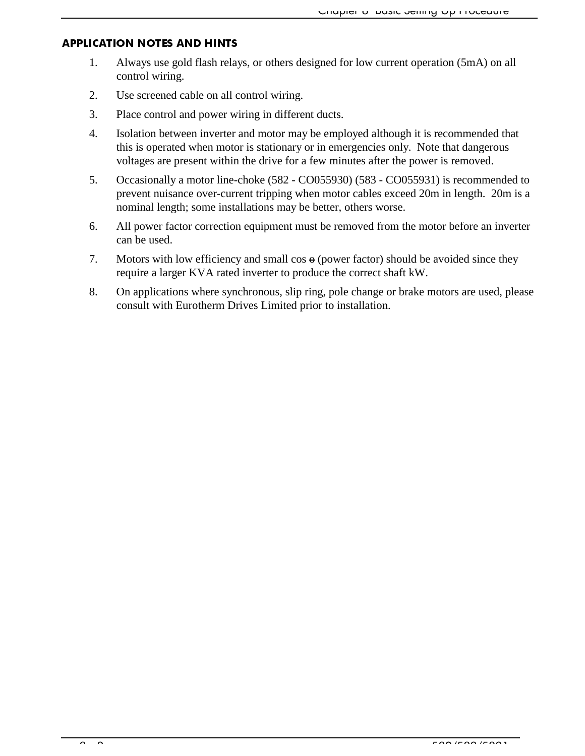#### **APPLICATION NOTES AND HINTS**

- 1. Always use gold flash relays, or others designed for low current operation (5mA) on all control wiring.
- 2. Use screened cable on all control wiring.
- 3. Place control and power wiring in different ducts.
- 4. Isolation between inverter and motor may be employed although it is recommended that this is operated when motor is stationary or in emergencies only. Note that dangerous voltages are present within the drive for a few minutes after the power is removed.
- 5. Occasionally a motor line-choke (582 CO055930) (583 CO055931) is recommended to prevent nuisance over-current tripping when motor cables exceed 20m in length. 20m is a nominal length; some installations may be better, others worse.
- 6. All power factor correction equipment must be removed from the motor before an inverter can be used.
- 7. Motors with low efficiency and small  $\cos \theta$  (power factor) should be avoided since they require a larger KVA rated inverter to produce the correct shaft kW.
- 8. On applications where synchronous, slip ring, pole change or brake motors are used, please consult with Eurotherm Drives Limited prior to installation.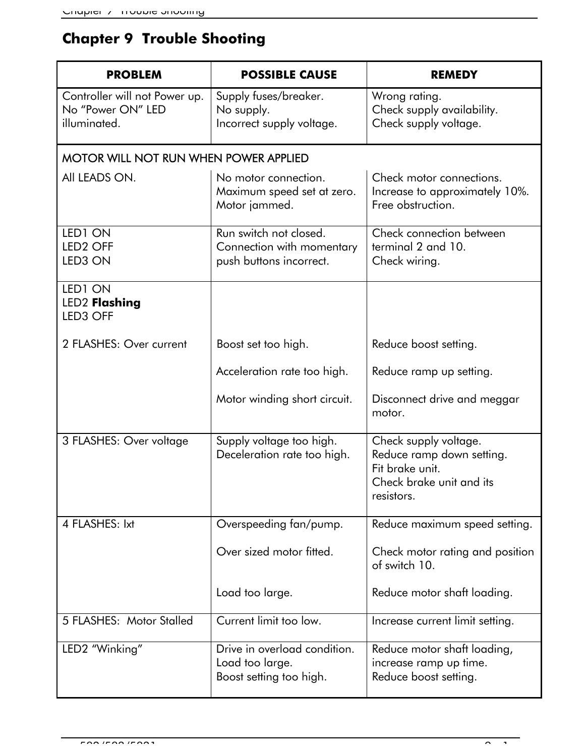# **Chapter 9 Trouble Shooting**

| <b>PROBLEM</b>                                                     | <b>POSSIBLE CAUSE</b>                                                          | <b>REMEDY</b>                                                                                                   |
|--------------------------------------------------------------------|--------------------------------------------------------------------------------|-----------------------------------------------------------------------------------------------------------------|
| Controller will not Power up.<br>No "Power ON" LED<br>illuminated. | Supply fuses/breaker.<br>No supply.<br>Incorrect supply voltage.               | Wrong rating.<br>Check supply availability.<br>Check supply voltage.                                            |
| <b>MOTOR WILL NOT RUN WHEN POWER APPLIED</b>                       |                                                                                |                                                                                                                 |
| All LEADS ON.                                                      | No motor connection.<br>Maximum speed set at zero.<br>Motor jammed.            | Check motor connections.<br>Increase to approximately 10%.<br>Free obstruction.                                 |
| LED1 ON<br>LED <sub>2</sub> OFF<br>LED3 ON                         | Run switch not closed.<br>Connection with momentary<br>push buttons incorrect. | Check connection between<br>terminal 2 and 10.<br>Check wiring.                                                 |
| LED1 ON<br><b>LED2 Flashing</b><br>LED3 OFF                        |                                                                                |                                                                                                                 |
| 2 FLASHES: Over current                                            | Boost set too high.                                                            | Reduce boost setting.                                                                                           |
|                                                                    | Acceleration rate too high.                                                    | Reduce ramp up setting.                                                                                         |
|                                                                    | Motor winding short circuit.                                                   | Disconnect drive and meggar<br>motor.                                                                           |
| 3 FLASHES: Over voltage                                            | Supply voltage too high.<br>Deceleration rate too high.                        | Check supply voltage.<br>Reduce ramp down setting.<br>Fit brake unit.<br>Check brake unit and its<br>resistors. |
| 4 FLASHES: Ixt                                                     | Overspeeding fan/pump.                                                         | Reduce maximum speed setting.                                                                                   |
|                                                                    | Over sized motor fitted.                                                       | Check motor rating and position<br>of switch 10.                                                                |
|                                                                    | Load too large.                                                                | Reduce motor shaft loading.                                                                                     |
| 5 FLASHES: Motor Stalled                                           | Current limit too low.                                                         | Increase current limit setting.                                                                                 |
| LED2 "Winking"                                                     | Drive in overload condition.<br>Load too large.<br>Boost setting too high.     | Reduce motor shaft loading,<br>increase ramp up time.<br>Reduce boost setting.                                  |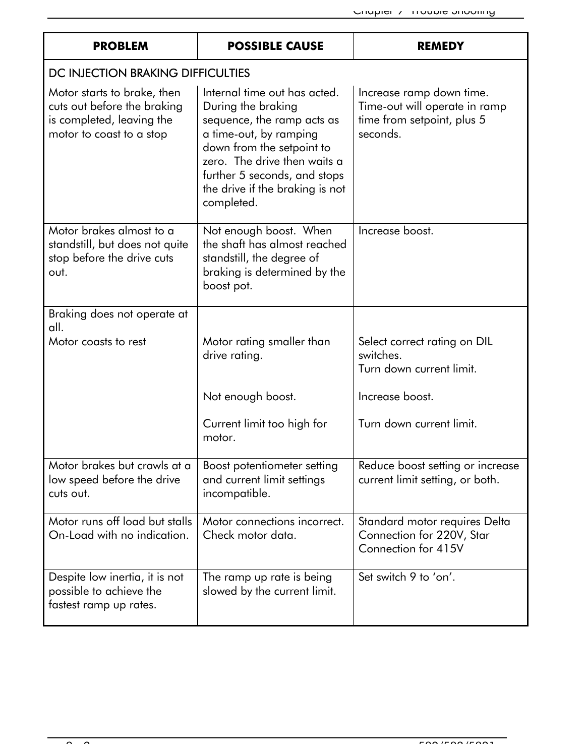| <b>PROBLEM</b>                                                                                                      | <b>POSSIBLE CAUSE</b>                                                                                                                                                                                                                                    | <b>REMEDY</b>                                                                                       |
|---------------------------------------------------------------------------------------------------------------------|----------------------------------------------------------------------------------------------------------------------------------------------------------------------------------------------------------------------------------------------------------|-----------------------------------------------------------------------------------------------------|
| DC INJECTION BRAKING DIFFICULTIES                                                                                   |                                                                                                                                                                                                                                                          |                                                                                                     |
| Motor starts to brake, then<br>cuts out before the braking<br>is completed, leaving the<br>motor to coast to a stop | Internal time out has acted.<br>During the braking<br>sequence, the ramp acts as<br>a time-out, by ramping<br>down from the setpoint to<br>zero. The drive then waits a<br>further 5 seconds, and stops<br>the drive if the braking is not<br>completed. | Increase ramp down time.<br>Time-out will operate in ramp<br>time from setpoint, plus 5<br>seconds. |
| Motor brakes almost to a<br>standstill, but does not quite<br>stop before the drive cuts<br>out.                    | Not enough boost. When<br>the shaft has almost reached<br>standstill, the degree of<br>braking is determined by the<br>boost pot.                                                                                                                        | Increase boost.                                                                                     |
| Braking does not operate at<br>all.                                                                                 |                                                                                                                                                                                                                                                          |                                                                                                     |
| Motor coasts to rest                                                                                                | Motor rating smaller than<br>drive rating.                                                                                                                                                                                                               | Select correct rating on DIL<br>switches.<br>Turn down current limit.                               |
|                                                                                                                     | Not enough boost.                                                                                                                                                                                                                                        | Increase boost.                                                                                     |
|                                                                                                                     | Current limit too high for<br>motor.                                                                                                                                                                                                                     | Turn down current limit.                                                                            |
| Motor brakes but crawls at a<br>low speed before the drive<br>cuts out.                                             | Boost potentiometer setting<br>and current limit settings<br>incompatible.                                                                                                                                                                               | Reduce boost setting or increase<br>current limit setting, or both.                                 |
| Motor runs off load but stalls<br>On-Load with no indication.                                                       | Motor connections incorrect.<br>Check motor data.                                                                                                                                                                                                        | Standard motor requires Delta<br>Connection for 220V, Star<br>Connection for 415V                   |
| Despite low inertia, it is not<br>possible to achieve the<br>fastest ramp up rates.                                 | The ramp up rate is being<br>slowed by the current limit.                                                                                                                                                                                                | Set switch 9 to 'on'.                                                                               |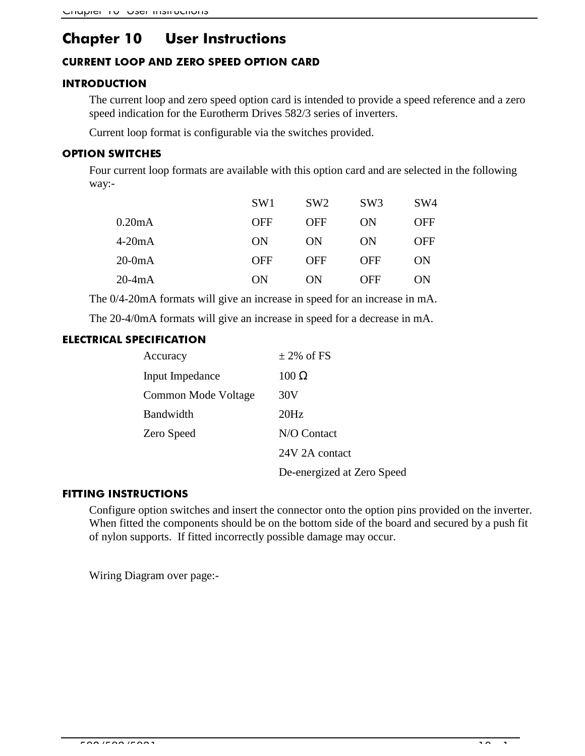# Chapter 10 User Instructions

### **CURRENT LOOP AND ZERO SPEED OPTION CARD**

### **INTRODUCTION**

The current loop and zero speed option card is intended to provide a speed reference and a zero speed indication for the Eurotherm Drives 582/3 series of inverters.

Current loop format is configurable via the switches provided.

### **OPTION SWITCHES**

Four current loop formats are available with this option card and are selected in the following way:-

|          | SW <sub>1</sub> | SW <sub>2</sub> | SW3        | SW4 |
|----------|-----------------|-----------------|------------|-----|
| 0.20mA   | <b>OFF</b>      | <b>OFF</b>      | ON         | OFF |
| $4-20mA$ | ON              | ON              | ON         | OFF |
| $20-0mA$ | <b>OFF</b>      | <b>OFF</b>      | <b>OFF</b> | ON  |
| $20-4mA$ | ON              | OΝ              | OFF        | ON  |

The 0/4-20mA formats will give an increase in speed for an increase in mA.

The 20-4/0mA formats will give an increase in speed for a decrease in mA.

### **ELECTRICAL SPECIFICATION**

| Accuracy            | $\pm$ 2% of FS             |
|---------------------|----------------------------|
| Input Impedance     | $100 \Omega$               |
| Common Mode Voltage | 30V                        |
| Bandwidth           | 20Hz                       |
| Zero Speed          | N/O Contact                |
|                     | 24V 2A contact             |
|                     | De-energized at Zero Speed |

### **FITTING INSTRUCTIONS**

Configure option switches and insert the connector onto the option pins provided on the inverter. When fitted the components should be on the bottom side of the board and secured by a push fit of nylon supports. If fitted incorrectly possible damage may occur.

Wiring Diagram over page:-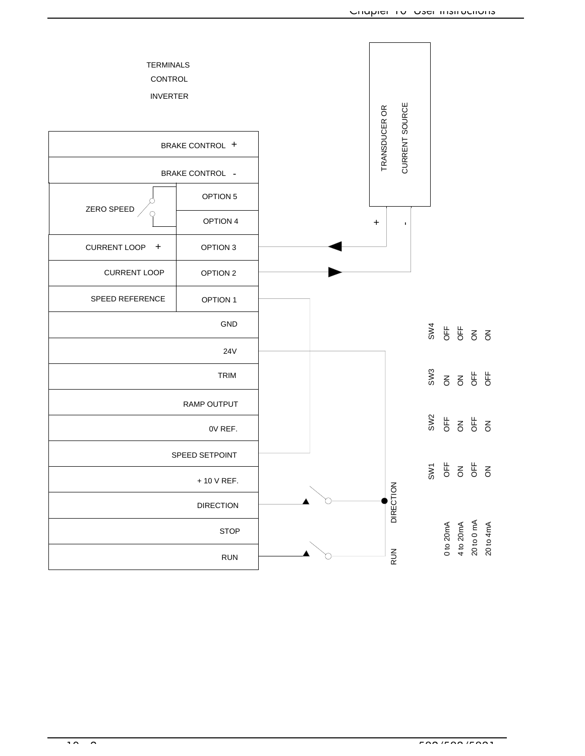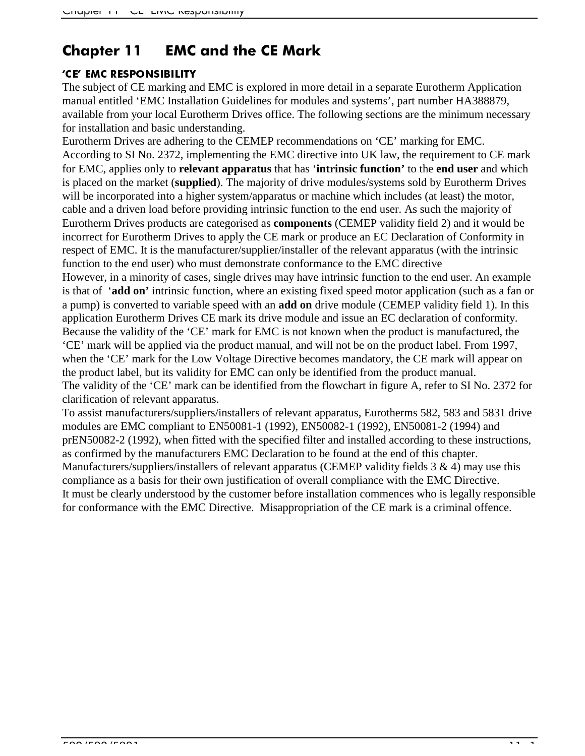# Chapter 11 EMC and the CE Mark

### 'CE' EMC RESPONSIBILITY

The subject of CE marking and EMC is explored in more detail in a separate Eurotherm Application manual entitled 'EMC Installation Guidelines for modules and systems', part number HA388879, available from your local Eurotherm Drives office. The following sections are the minimum necessary for installation and basic understanding.

Eurotherm Drives are adhering to the CEMEP recommendations on 'CE' marking for EMC. According to SI No. 2372, implementing the EMC directive into UK law, the requirement to CE mark for EMC, applies only to **relevant apparatus** that has '**intrinsic function'** to the **end user** and which is placed on the market (**supplied**). The majority of drive modules/systems sold by Eurotherm Drives will be incorporated into a higher system/apparatus or machine which includes (at least) the motor, cable and a driven load before providing intrinsic function to the end user. As such the majority of Eurotherm Drives products are categorised as **components** (CEMEP validity field 2) and it would be incorrect for Eurotherm Drives to apply the CE mark or produce an EC Declaration of Conformity in respect of EMC. It is the manufacturer/supplier/installer of the relevant apparatus (with the intrinsic function to the end user) who must demonstrate conformance to the EMC directive

However, in a minority of cases, single drives may have intrinsic function to the end user. An example is that of '**add on'** intrinsic function, where an existing fixed speed motor application (such as a fan or a pump) is converted to variable speed with an **add on** drive module (CEMEP validity field 1). In this application Eurotherm Drives CE mark its drive module and issue an EC declaration of conformity. Because the validity of the 'CE' mark for EMC is not known when the product is manufactured, the 'CE' mark will be applied via the product manual, and will not be on the product label. From 1997, when the 'CE' mark for the Low Voltage Directive becomes mandatory, the CE mark will appear on the product label, but its validity for EMC can only be identified from the product manual. The validity of the 'CE' mark can be identified from the flowchart in figure A, refer to SI No. 2372 for clarification of relevant apparatus.

To assist manufacturers/suppliers/installers of relevant apparatus, Eurotherms 582, 583 and 5831 drive modules are EMC compliant to EN50081-1 (1992), EN50082-1 (1992), EN50081-2 (1994) and prEN50082-2 (1992), when fitted with the specified filter and installed according to these instructions, as confirmed by the manufacturers EMC Declaration to be found at the end of this chapter. Manufacturers/suppliers/installers of relevant apparatus (CEMEP validity fields  $3 \& 4$ ) may use this compliance as a basis for their own justification of overall compliance with the EMC Directive. It must be clearly understood by the customer before installation commences who is legally responsible for conformance with the EMC Directive. Misappropriation of the CE mark is a criminal offence.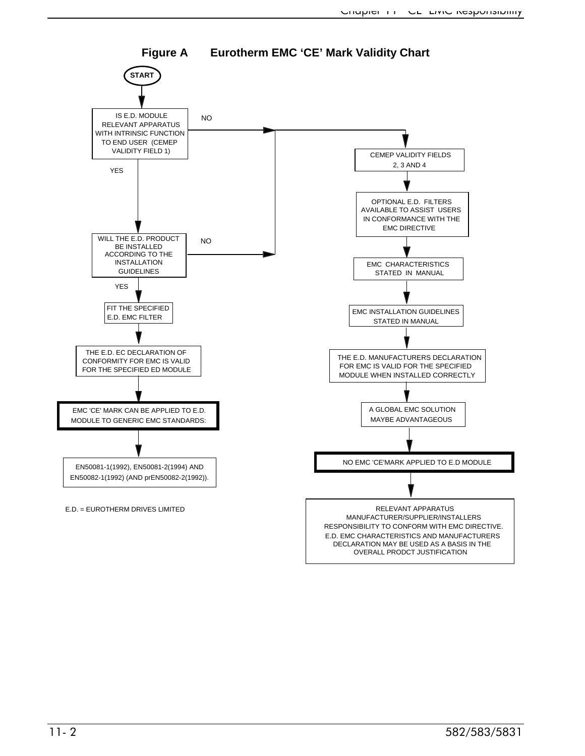

### **Figure A Eurotherm EMC 'CE' Mark Validity Chart**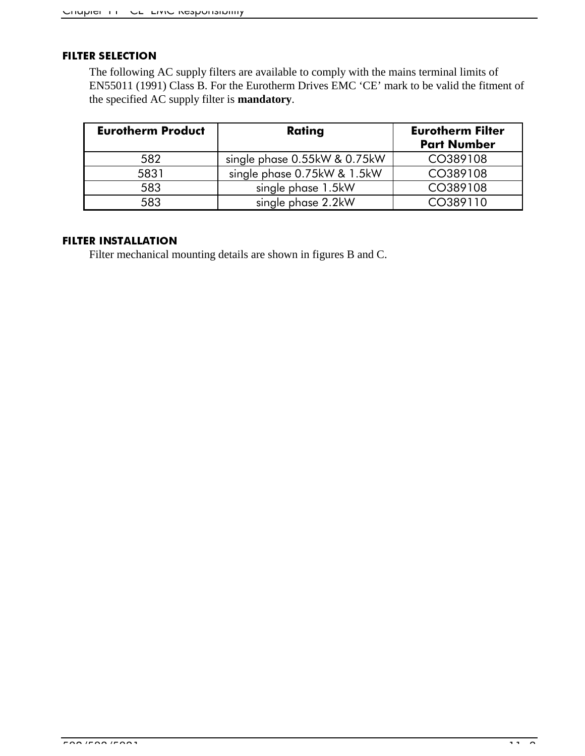#### **FILTER SELECTION**

The following AC supply filters are available to comply with the mains terminal limits of EN55011 (1991) Class B. For the Eurotherm Drives EMC 'CE' mark to be valid the fitment of the specified AC supply filter is **mandatory**.

| <b>Eurotherm Product</b> | <b>Rating</b>                | <b>Eurotherm Filter</b><br><b>Part Number</b> |
|--------------------------|------------------------------|-----------------------------------------------|
| 582                      | single phase 0.55kW & 0.75kW | CO389108                                      |
| 5831                     | single phase 0.75kW & 1.5kW  | CO389108                                      |
| 583                      | single phase 1.5kW           | CO389108                                      |
| 583                      | single phase 2.2kW           | CO389110                                      |

#### **FILTER INSTALLATION**

Filter mechanical mounting details are shown in figures B and C.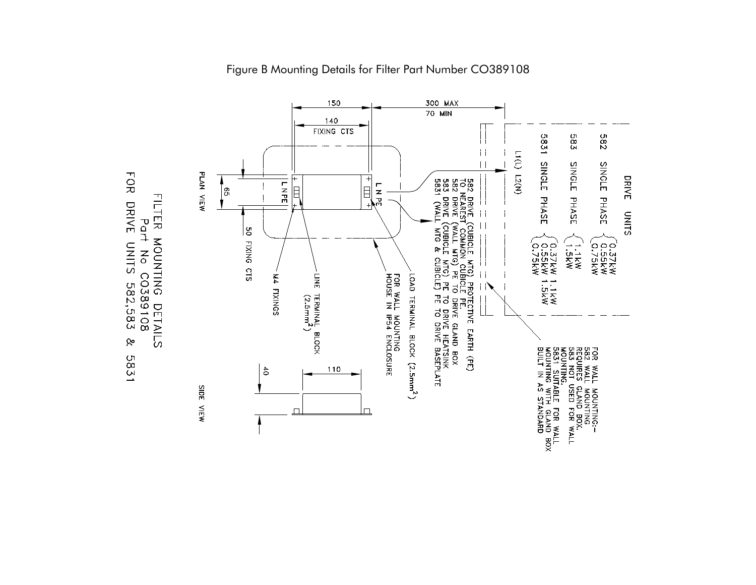



Figure B Mounting Details for Filter Part Number CO389108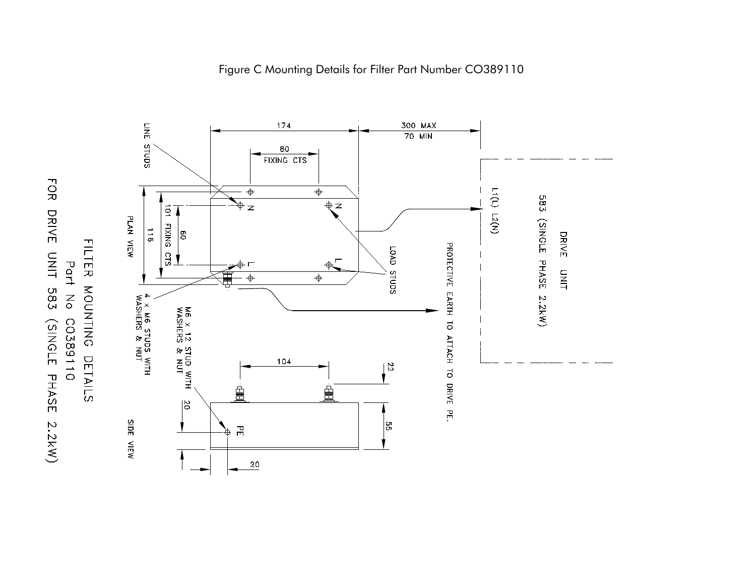

FOR DRIVE UNIT

583

SNOLE PHASE

2.2kW)

Part

 $\mathop{\hbox{S}}$ 

C0389110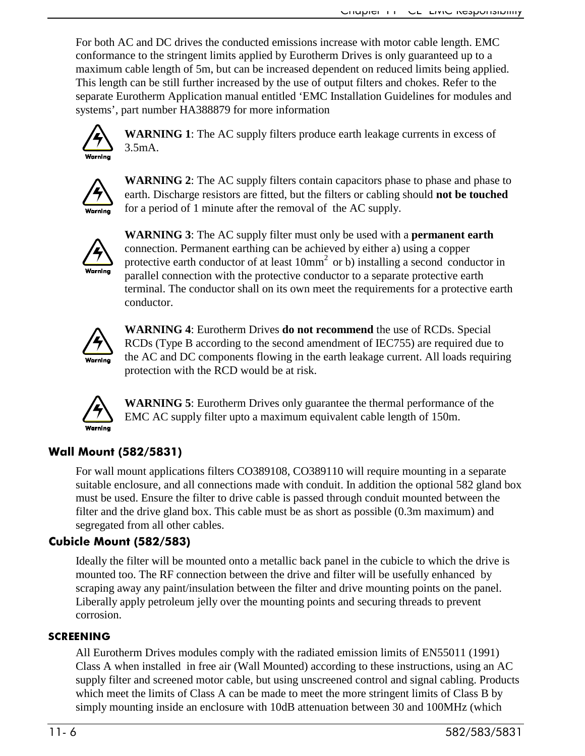For both AC and DC drives the conducted emissions increase with motor cable length. EMC conformance to the stringent limits applied by Eurotherm Drives is only guaranteed up to a maximum cable length of 5m, but can be increased dependent on reduced limits being applied. This length can be still further increased by the use of output filters and chokes. Refer to the separate Eurotherm Application manual entitled 'EMC Installation Guidelines for modules and systems', part number HA388879 for more information



**WARNING 1**: The AC supply filters produce earth leakage currents in excess of 3.5mA.



**WARNING 2**: The AC supply filters contain capacitors phase to phase and phase to earth. Discharge resistors are fitted, but the filters or cabling should **not be touched** for a period of 1 minute after the removal of the AC supply.



**WARNING 3**: The AC supply filter must only be used with a **permanent earth** connection. Permanent earthing can be achieved by either a) using a copper protective earth conductor of at least 10mm2 or b) installing a second conductor in parallel connection with the protective conductor to a separate protective earth terminal. The conductor shall on its own meet the requirements for a protective earth conductor.



**WARNING 4**: Eurotherm Drives **do not recommend** the use of RCDs. Special RCDs (Type B according to the second amendment of IEC755) are required due to the AC and DC components flowing in the earth leakage current. All loads requiring protection with the RCD would be at risk.



**WARNING 5**: Eurotherm Drives only guarantee the thermal performance of the EMC AC supply filter upto a maximum equivalent cable length of 150m.

### Wall Mount (582/5831)

For wall mount applications filters CO389108, CO389110 will require mounting in a separate suitable enclosure, and all connections made with conduit. In addition the optional 582 gland box must be used. Ensure the filter to drive cable is passed through conduit mounted between the filter and the drive gland box. This cable must be as short as possible (0.3m maximum) and segregated from all other cables.

### Cubicle Mount (582/583)

Ideally the filter will be mounted onto a metallic back panel in the cubicle to which the drive is mounted too. The RF connection between the drive and filter will be usefully enhanced by scraping away any paint/insulation between the filter and drive mounting points on the panel. Liberally apply petroleum jelly over the mounting points and securing threads to prevent corrosion.

### **SCREENING**

All Eurotherm Drives modules comply with the radiated emission limits of EN55011 (1991) Class A when installed in free air (Wall Mounted) according to these instructions, using an AC supply filter and screened motor cable, but using unscreened control and signal cabling. Products which meet the limits of Class A can be made to meet the more stringent limits of Class B by simply mounting inside an enclosure with 10dB attenuation between 30 and 100MHz (which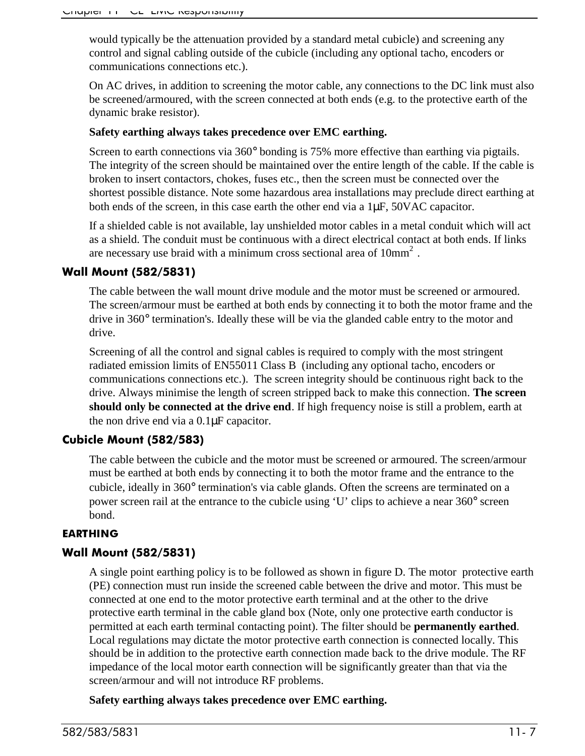would typically be the attenuation provided by a standard metal cubicle) and screening any control and signal cabling outside of the cubicle (including any optional tacho, encoders or communications connections etc.).

On AC drives, in addition to screening the motor cable, any connections to the DC link must also be screened/armoured, with the screen connected at both ends (e.g. to the protective earth of the dynamic brake resistor).

### **Safety earthing always takes precedence over EMC earthing.**

Screen to earth connections via 360° bonding is 75% more effective than earthing via pigtails. The integrity of the screen should be maintained over the entire length of the cable. If the cable is broken to insert contactors, chokes, fuses etc., then the screen must be connected over the shortest possible distance. Note some hazardous area installations may preclude direct earthing at both ends of the screen, in this case earth the other end via a 1µF, 50VAC capacitor.

If a shielded cable is not available, lay unshielded motor cables in a metal conduit which will act as a shield. The conduit must be continuous with a direct electrical contact at both ends. If links are necessary use braid with a minimum cross sectional area of  $10mm<sup>2</sup>$ .

### **Wall Mount (582/5831)**

The cable between the wall mount drive module and the motor must be screened or armoured. The screen/armour must be earthed at both ends by connecting it to both the motor frame and the drive in 360° termination's. Ideally these will be via the glanded cable entry to the motor and drive.

Screening of all the control and signal cables is required to comply with the most stringent radiated emission limits of EN55011 Class B (including any optional tacho, encoders or communications connections etc.). The screen integrity should be continuous right back to the drive. Always minimise the length of screen stripped back to make this connection. **The screen should only be connected at the drive end**. If high frequency noise is still a problem, earth at the non drive end via a 0.1µF capacitor.

### Cubicle Mount (582/583)

The cable between the cubicle and the motor must be screened or armoured. The screen/armour must be earthed at both ends by connecting it to both the motor frame and the entrance to the cubicle, ideally in 360° termination's via cable glands. Often the screens are terminated on a power screen rail at the entrance to the cubicle using 'U' clips to achieve a near 360° screen bond.

### **EARTHING**

### Wall Mount (582/5831)

A single point earthing policy is to be followed as shown in figure D. The motor protective earth (PE) connection must run inside the screened cable between the drive and motor. This must be connected at one end to the motor protective earth terminal and at the other to the drive protective earth terminal in the cable gland box (Note, only one protective earth conductor is permitted at each earth terminal contacting point). The filter should be **permanently earthed**. Local regulations may dictate the motor protective earth connection is connected locally. This should be in addition to the protective earth connection made back to the drive module. The RF impedance of the local motor earth connection will be significantly greater than that via the screen/armour and will not introduce RF problems.

### **Safety earthing always takes precedence over EMC earthing.**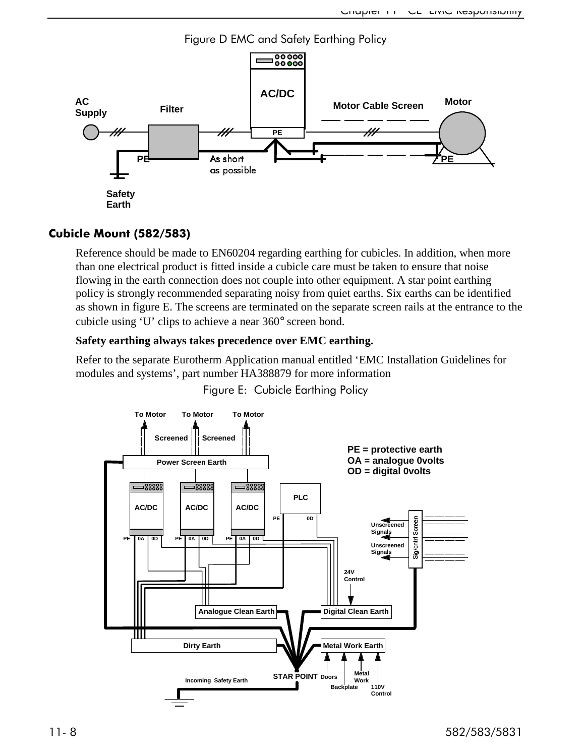

### Cubicle Mount (582/583)

Reference should be made to EN60204 regarding earthing for cubicles. In addition, when more than one electrical product is fitted inside a cubicle care must be taken to ensure that noise flowing in the earth connection does not couple into other equipment. A star point earthing policy is strongly recommended separating noisy from quiet earths. Six earths can be identified as shown in figure E. The screens are terminated on the separate screen rails at the entrance to the cubicle using 'U' clips to achieve a near 360° screen bond.

### **Safety earthing always takes precedence over EMC earthing.**

Refer to the separate Eurotherm Application manual entitled 'EMC Installation Guidelines for modules and systems', part number HA388879 for more information

Figure E: Cubicle Earthing Policy

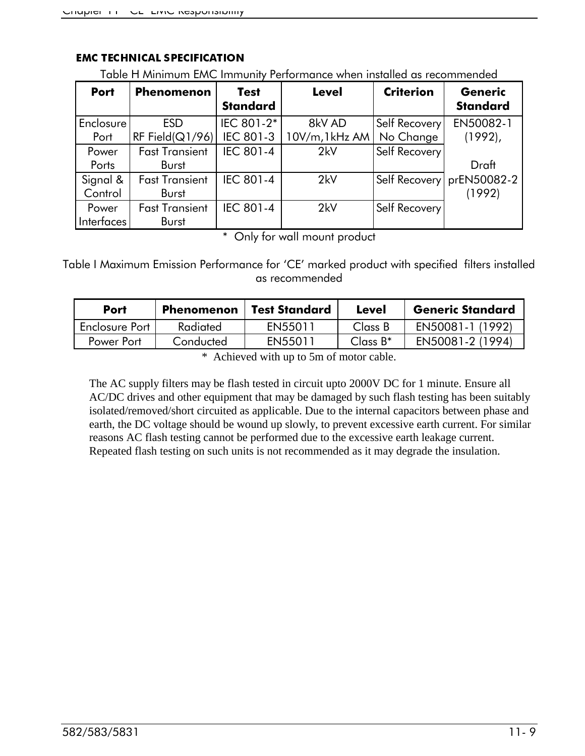| <u>FOUR TERMINISTIC LIBRARY INTERNATION IN STRUCK WITHIN ISSUED OS TECUMINENCEU</u> |                       |                                |                |                  |                                   |  |  |
|-------------------------------------------------------------------------------------|-----------------------|--------------------------------|----------------|------------------|-----------------------------------|--|--|
| <b>Port</b>                                                                         | <b>Phenomenon</b>     | <b>Test</b><br><b>Standard</b> | <b>Level</b>   | <b>Criterion</b> | <b>Generic</b><br><b>Standard</b> |  |  |
| Enclosure <sup>'</sup>                                                              | <b>ESD</b>            | IEC 801-2*                     | 8kV AD         | Self Recovery    | EN50082-1                         |  |  |
| Port                                                                                | RF Field( $Q1/96$ )   | <b>IEC 801-3</b>               | 10V/m, 1kHz AM | No Change        | $(1992)$ ,                        |  |  |
| Power                                                                               | <b>Fast Transient</b> | <b>IEC 801-4</b>               | 2kV            | Self Recovery    |                                   |  |  |
| Ports                                                                               | <b>Burst</b>          |                                |                |                  | Draft                             |  |  |
| Signal &                                                                            | <b>Fast Transient</b> | <b>IEC 801-4</b>               | 2kV            | Self Recovery    | prEN50082-2                       |  |  |
| Control                                                                             | <b>Burst</b>          |                                |                |                  | (1992)                            |  |  |
| Power                                                                               | <b>Fast Transient</b> | <b>IEC 801-4</b>               | 2kV            | Self Recovery    |                                   |  |  |
| Interfaces                                                                          | <b>Burst</b>          |                                |                |                  |                                   |  |  |

### **EMC TECHNICAL SPECIFICATION**

Table H Minimum FMC Immunity Performance when installed as recommended

\* Only for wall mount product

Table I Maximum Emission Performance for 'CE' marked product with specified filters installed as recommended

| Port           | Phenomenon | <b>Test Standard</b> | Level       | <b>Generic Standard</b> |
|----------------|------------|----------------------|-------------|-------------------------|
| Enclosure Port | Radiated   | EN55011              | Class B     | EN50081-1 (1992)        |
| Power Port     | Conducted  | EN55011              | Class $B^*$ | EN50081-2 (1994)        |

\* Achieved with up to 5m of motor cable.

The AC supply filters may be flash tested in circuit upto 2000V DC for 1 minute. Ensure all AC/DC drives and other equipment that may be damaged by such flash testing has been suitably isolated/removed/short circuited as applicable. Due to the internal capacitors between phase and earth, the DC voltage should be wound up slowly, to prevent excessive earth current. For similar reasons AC flash testing cannot be performed due to the excessive earth leakage current. Repeated flash testing on such units is not recommended as it may degrade the insulation.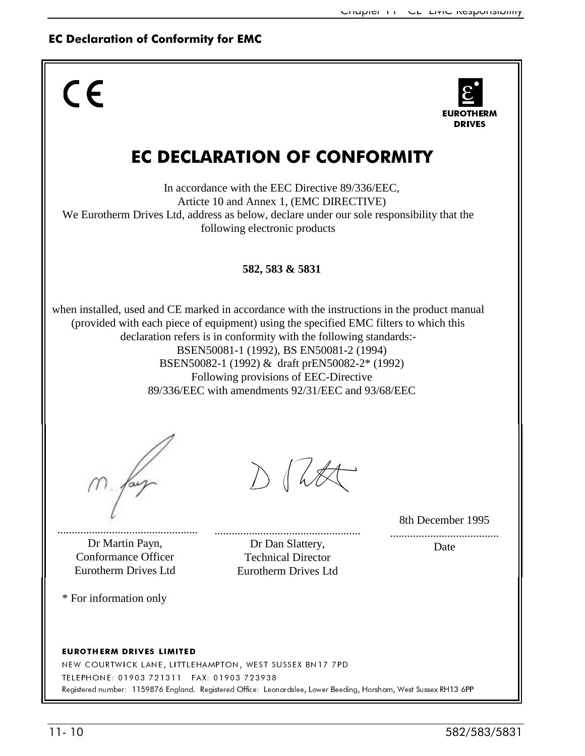### **EC Declaration of Conformity for EMC**



EUROTHERM DRIVES LIMITED

NEW COURTWICK LANE, LITTLEHAMPTON, WEST SUSSEX BN17 7PD TELEPHONE: 01903 721311 FAX: 01903 723938 Registered number: 1159876 England. Registered Office: Leonardslee, Lower Beeding, Horsham, West Sussex RH13 6PP